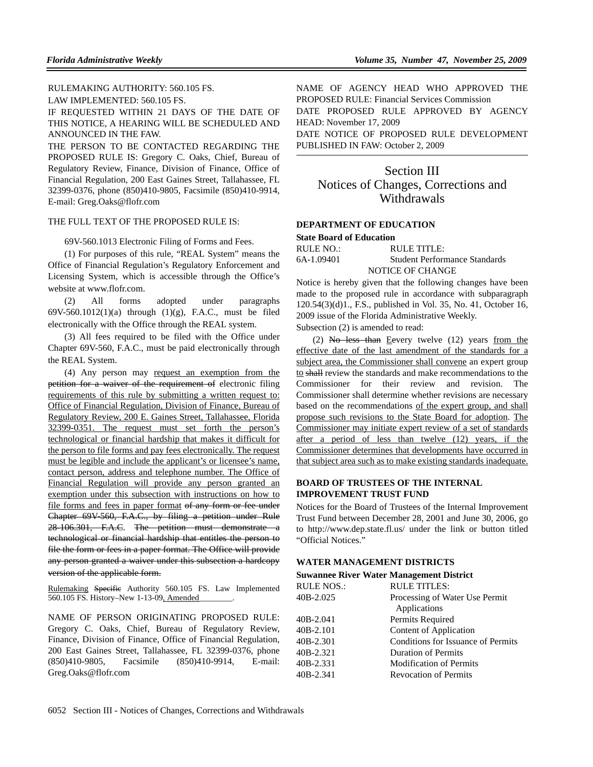RULEMAKING AUTHORITY: 560.105 FS.

LAW IMPLEMENTED: 560.105 FS.

IF REQUESTED WITHIN 21 DAYS OF THE DATE OF THIS NOTICE, A HEARING WILL BE SCHEDULED AND ANNOUNCED IN THE FAW.

THE PERSON TO BE CONTACTED REGARDING THE PROPOSED RULE IS: Gregory C. Oaks, Chief, Bureau of Regulatory Review, Finance, Division of Finance, Office of Financial Regulation, 200 East Gaines Street, Tallahassee, FL 32399-0376, phone (850)410-9805, Facsimile (850)410-9914, E-mail: Greg.Oaks@flofr.com

#### THE FULL TEXT OF THE PROPOSED RULE IS:

69V-560.1013 Electronic Filing of Forms and Fees.

(1) For purposes of this rule, "REAL System" means the Office of Financial Regulation's Regulatory Enforcement and Licensing System, which is accessible through the Office's website at www.flofr.com.

(2) All forms adopted under paragraphs 69V-560.1012(1)(a) through (1)(g), F.A.C., must be filed electronically with the Office through the REAL system.

(3) All fees required to be filed with the Office under Chapter 69V-560, F.A.C., must be paid electronically through the REAL System.

(4) Any person may request an exemption from the petition for a waiver of the requirement of electronic filing requirements of this rule by submitting a written request to: Office of Financial Regulation, Division of Finance, Bureau of Regulatory Review, 200 E. Gaines Street, Tallahassee, Florida 32399-0351. The request must set forth the person's technological or financial hardship that makes it difficult for the person to file forms and pay fees electronically. The request must be legible and include the applicant's or licensee's name, contact person, address and telephone number. The Office of Financial Regulation will provide any person granted an exemption under this subsection with instructions on how to file forms and fees in paper format of any form or fee under Chapter 69V-560, F.A.C., by filing a petition under Rule 28-106.301, F.A.C. The petition must demonstrate a technological or financial hardship that entitles the person to file the form or fees in a paper format. The Office will provide any person granted a waiver under this subsection a hardcopy version of the applicable form.

Rulemaking Specific Authority 560.105 FS. Law Implemented 560.105 FS. History-New 1-13-09, Amended

NAME OF PERSON ORIGINATING PROPOSED RULE: Gregory C. Oaks, Chief, Bureau of Regulatory Review, Finance, Division of Finance, Office of Financial Regulation, 200 East Gaines Street, Tallahassee, FL 32399-0376, phone (850)410-9805, Facsimile (850)410-9914, E-mail: Greg.Oaks@flofr.com

NAME OF AGENCY HEAD WHO APPROVED THE PROPOSED RULE: Financial Services Commission DATE PROPOSED RULE APPROVED BY AGENCY HEAD: November 17, 2009

DATE NOTICE OF PROPOSED RULE DEVELOPMENT PUBLISHED IN FAW: October 2, 2009

# Section III Notices of Changes, Corrections and Withdrawals

## **DEPARTMENT OF EDUCATION**

#### **State Board of Education**

| RULE NO.:  | RULE TITLE:                   |
|------------|-------------------------------|
| 6A-1.09401 | Student Performance Standards |
|            | NOTICE OF CHANGE              |

Notice is hereby given that the following changes have been made to the proposed rule in accordance with subparagraph 120.54(3)(d)1., F.S., published in Vol. 35, No. 41, October 16, 2009 issue of the Florida Administrative Weekly.

Subsection (2) is amended to read:

(2) No less than Eevery twelve  $(12)$  years from the effective date of the last amendment of the standards for a subject area, the Commissioner shall convene an expert group to shall review the standards and make recommendations to the Commissioner for their review and revision. The Commissioner shall determine whether revisions are necessary based on the recommendations of the expert group, and shall propose such revisions to the State Board for adoption. The Commissioner may initiate expert review of a set of standards after a period of less than twelve (12) years, if the Commissioner determines that developments have occurred in that subject area such as to make existing standards inadequate.

## **BOARD OF TRUSTEES OF THE INTERNAL IMPROVEMENT TRUST FUND**

Notices for the Board of Trustees of the Internal Improvement Trust Fund between December 28, 2001 and June 30, 2006, go to http://www.dep.state.fl.us/ under the link or button titled "Official Notices."

#### **WATER MANAGEMENT DISTRICTS**

#### **Suwannee River Water Management District**

| <b>RULE NOS.:</b> | <b>RULE TITLES:</b>                |  |
|-------------------|------------------------------------|--|
| 40B-2.025         | Processing of Water Use Permit     |  |
|                   | Applications                       |  |
| 40B-2.041         | Permits Required                   |  |
| 40B-2.101         | Content of Application             |  |
| 40B-2.301         | Conditions for Issuance of Permits |  |
| 40B-2.321         | <b>Duration of Permits</b>         |  |
| 40B-2.331         | <b>Modification of Permits</b>     |  |
| 40B-2.341         | <b>Revocation of Permits</b>       |  |
|                   |                                    |  |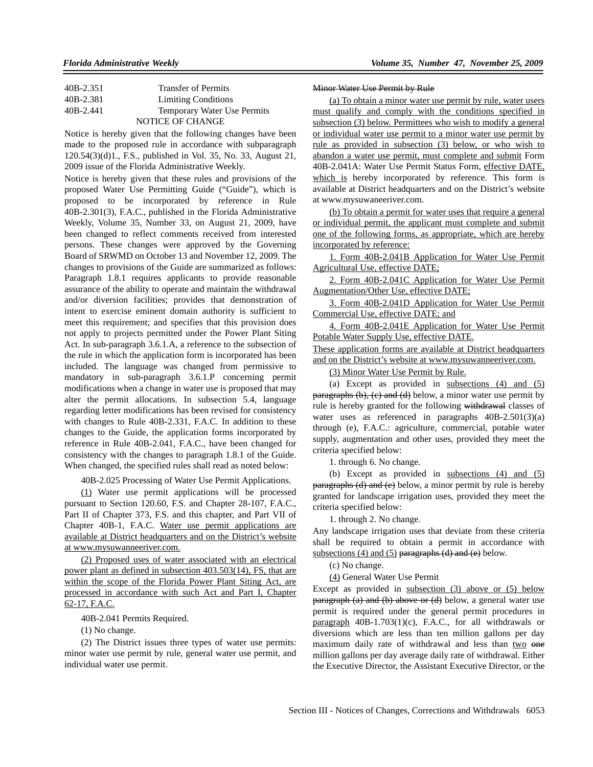| 40B-2.351 | <b>Transfer of Permits</b>         |
|-----------|------------------------------------|
| 40B-2.381 | <b>Limiting Conditions</b>         |
| 40B-2.441 | <b>Temporary Water Use Permits</b> |
|           | NOTICE OF CHANGE                   |

Notice is hereby given that the following changes have been made to the proposed rule in accordance with subparagraph 120.54(3)(d)1., F.S., published in Vol. 35, No. 33, August 21, 2009 issue of the Florida Administrative Weekly.

Notice is hereby given that these rules and provisions of the proposed Water Use Permitting Guide ("Guide"), which is proposed to be incorporated by reference in Rule 40B-2.301(3), F.A.C., published in the Florida Administrative Weekly, Volume 35, Number 33, on August 21, 2009, have been changed to reflect comments received from interested persons. These changes were approved by the Governing Board of SRWMD on October 13 and November 12, 2009. The changes to provisions of the Guide are summarized as follows: Paragraph 1.8.1 requires applicants to provide reasonable assurance of the ability to operate and maintain the withdrawal and/or diversion facilities; provides that demonstration of intent to exercise eminent domain authority is sufficient to meet this requirement; and specifies that this provision does not apply to projects permitted under the Power Plant Siting Act. In sub-paragraph 3.6.1.A, a reference to the subsection of the rule in which the application form is incorporated has been included. The language was changed from permissive to mandatory in sub-paragraph 3.6.1.P concerning permit modifications when a change in water use is proposed that may alter the permit allocations. In subsection 5.4, language regarding letter modifications has been revised for consistency with changes to Rule 40B-2.331, F.A.C. In addition to these changes to the Guide, the application forms incorporated by reference in Rule 40B-2.041, F.A.C., have been changed for consistency with the changes to paragraph 1.8.1 of the Guide. When changed, the specified rules shall read as noted below:

40B-2.025 Processing of Water Use Permit Applications.

(1) Water use permit applications will be processed pursuant to Section 120.60, F.S. and Chapter 28-107, F.A.C., Part II of Chapter 373, F.S. and this chapter, and Part VII of Chapter 40B-1, F.A.C. Water use permit applications are available at District headquarters and on the District's website at www.mysuwanneeriver.com.

(2) Proposed uses of water associated with an electrical power plant as defined in subsection 403.503(14), FS, that are within the scope of the Florida Power Plant Siting Act, are processed in accordance with such Act and Part I, Chapter 62-17, F.A.C.

40B-2.041 Permits Required.

(1) No change.

(2) The District issues three types of water use permits: minor water use permit by rule, general water use permit, and individual water use permit.

#### Minor Water Use Permit by Rule

(a) To obtain a minor water use permit by rule, water users must qualify and comply with the conditions specified in subsection (3) below. Permittees who wish to modify a general or individual water use permit to a minor water use permit by rule as provided in subsection (3) below, or who wish to abandon a water use permit, must complete and submit Form 40B-2.041A: Water Use Permit Status Form, effective DATE, which is hereby incorporated by reference. This form is available at District headquarters and on the District's website at www.mysuwaneeriver.com.

(b) To obtain a permit for water uses that require a general or individual permit, the applicant must complete and submit one of the following forms, as appropriate, which are hereby incorporated by reference:

1. Form 40B-2.041B Application for Water Use Permit Agricultural Use, effective DATE;

2. Form 40B-2.041C Application for Water Use Permit Augmentation/Other Use, effective DATE;

3. Form 40B-2.041D Application for Water Use Permit Commercial Use, effective DATE; and

4. Form 40B-2.041E Application for Water Use Permit Potable Water Supply Use, effective DATE.

These application forms are available at District headquarters and on the District's website at www.mysuwanneeriver.com.

(3) Minor Water Use Permit by Rule.

(a) Except as provided in subsections  $(4)$  and  $(5)$ paragraphs (b), (e) and (d) below, a minor water use permit by rule is hereby granted for the following withdrawal classes of water uses as referenced in paragraphs 40B-2.501(3)(a) through (e), F.A.C.: agriculture, commercial, potable water supply, augmentation and other uses, provided they meet the criteria specified below:

1. through 6. No change.

(b) Except as provided in subsections (4) and (5) paragraphs (d) and (e) below, a minor permit by rule is hereby granted for landscape irrigation uses, provided they meet the criteria specified below:

1. through 2. No change.

Any landscape irrigation uses that deviate from these criteria shall be required to obtain a permit in accordance with subsections (4) and (5) paragraphs (d) and (e) below.

(c) No change.

(4) General Water Use Permit

Except as provided in subsection (3) above or (5) below paragraph (a) and (b) above or (d) below, a general water use permit is required under the general permit procedures in paragraph 40B-1.703(1)(c), F.A.C., for all withdrawals or diversions which are less than ten million gallons per day maximum daily rate of withdrawal and less than two one million gallons per day average daily rate of withdrawal. Either the Executive Director, the Assistant Executive Director, or the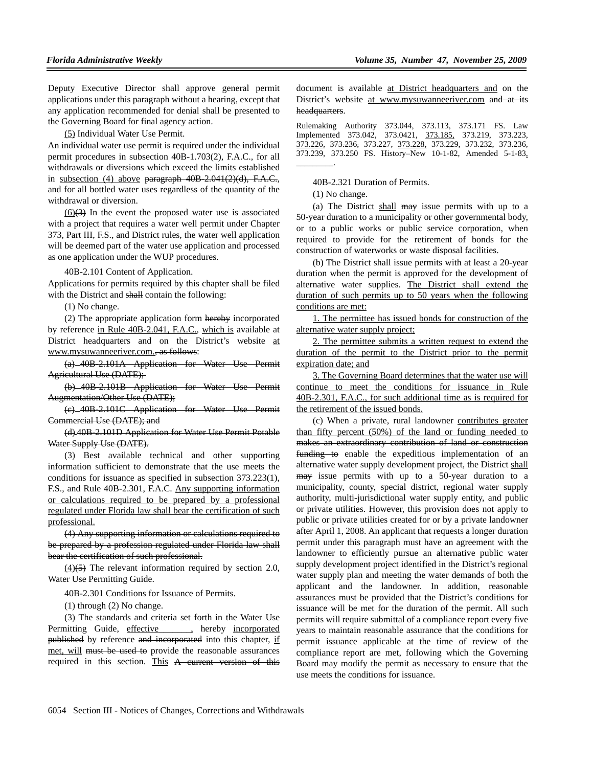Deputy Executive Director shall approve general permit applications under this paragraph without a hearing, except that any application recommended for denial shall be presented to the Governing Board for final agency action.

(5) Individual Water Use Permit.

An individual water use permit is required under the individual permit procedures in subsection 40B-1.703(2), F.A.C., for all withdrawals or diversions which exceed the limits established in subsection  $(4)$  above paragraph  $40B-2.041(2)(d)$ , F.A.C., and for all bottled water uses regardless of the quantity of the withdrawal or diversion.

 $(6)(3)$  In the event the proposed water use is associated with a project that requires a water well permit under Chapter 373, Part III, F.S., and District rules, the water well application will be deemed part of the water use application and processed as one application under the WUP procedures.

40B-2.101 Content of Application.

Applications for permits required by this chapter shall be filed with the District and shall contain the following:

(1) No change.

(2) The appropriate application form hereby incorporated by reference in Rule 40B-2.041, F.A.C., which is available at District headquarters and on the District's website at www.mysuwanneeriver.com., as follows:

(a) 40B-2.101A Application for Water Use Permit Agricultural Use (DATE);

(b) 40B-2.101B Application for Water Use Permit Augmentation/Other Use (DATE);

(c) 40B-2.101C Application for Water Use Permit Commercial Use (DATE); and

(d) 40B-2.101D Application for Water Use Permit Potable Water Supply Use (DATE).

(3) Best available technical and other supporting information sufficient to demonstrate that the use meets the conditions for issuance as specified in subsection 373.223(1), F.S., and Rule 40B-2.301, F.A.C. Any supporting information or calculations required to be prepared by a professional regulated under Florida law shall bear the certification of such professional.

(4) Any supporting information or calculations required to be prepared by a profession regulated under Florida law shall bear the certification of such professional.

 $(4)$ (5) The relevant information required by section 2.0, Water Use Permitting Guide.

40B-2.301 Conditions for Issuance of Permits.

(1) through (2) No change.

(3) The standards and criteria set forth in the Water Use Permitting Guide, effective , hereby incorporated published by reference and incorporated into this chapter, if met, will must be used to provide the reasonable assurances required in this section. This A current version of this document is available at District headquarters and on the District's website at www.mysuwanneeriver.com and at its headquarters.

Rulemaking Authority 373.044, 373.113, 373.171 FS. Law Implemented 373.042, 373.0421, 373.185, 373.219, 373.223, 373.226, 373.236, 373.227, 373.228, 373.229, 373.232, 373.236, 373.239, 373.250 FS. History–New 10-1-82, Amended 5-1-83, \_\_\_\_\_\_\_\_\_.

40B-2.321 Duration of Permits.

(1) No change.

(a) The District shall may issue permits with up to a 50-year duration to a municipality or other governmental body, or to a public works or public service corporation, when required to provide for the retirement of bonds for the construction of waterworks or waste disposal facilities.

(b) The District shall issue permits with at least a 20-year duration when the permit is approved for the development of alternative water supplies. The District shall extend the duration of such permits up to 50 years when the following conditions are met:

1. The permittee has issued bonds for construction of the alternative water supply project;

2. The permittee submits a written request to extend the duration of the permit to the District prior to the permit expiration date; and

3. The Governing Board determines that the water use will continue to meet the conditions for issuance in Rule 40B-2.301, F.A.C., for such additional time as is required for the retirement of the issued bonds.

(c) When a private, rural landowner contributes greater than fifty percent (50%) of the land or funding needed to makes an extraordinary contribution of land or construction funding to enable the expeditious implementation of an alternative water supply development project, the District shall may issue permits with up to a 50-year duration to a municipality, county, special district, regional water supply authority, multi-jurisdictional water supply entity, and public or private utilities. However, this provision does not apply to public or private utilities created for or by a private landowner after April 1, 2008. An applicant that requests a longer duration permit under this paragraph must have an agreement with the landowner to efficiently pursue an alternative public water supply development project identified in the District's regional water supply plan and meeting the water demands of both the applicant and the landowner. In addition, reasonable assurances must be provided that the District's conditions for issuance will be met for the duration of the permit. All such permits will require submittal of a compliance report every five years to maintain reasonable assurance that the conditions for permit issuance applicable at the time of review of the compliance report are met, following which the Governing Board may modify the permit as necessary to ensure that the use meets the conditions for issuance.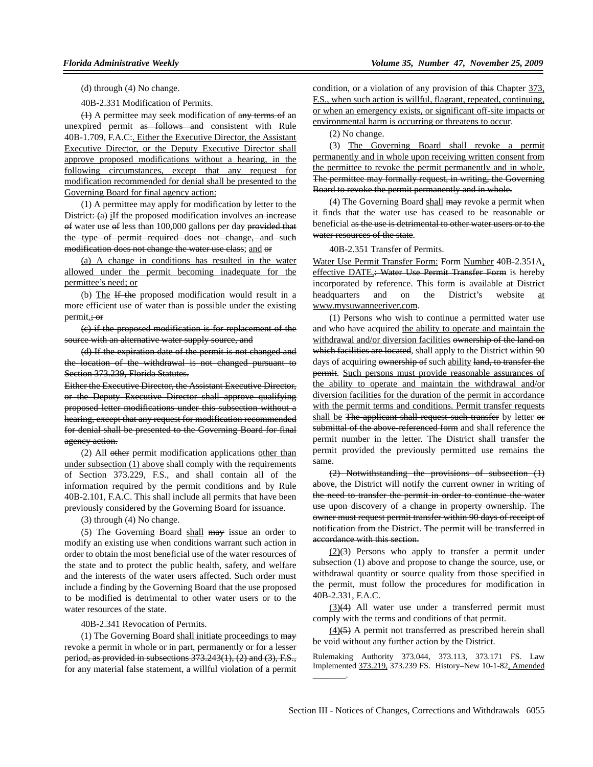(d) through (4) No change.

40B-2.331 Modification of Permits.

(1) A permittee may seek modification of any terms of an unexpired permit as follows and consistent with Rule 40B-1.709, F.A.C:. Either the Executive Director, the Assistant Executive Director, or the Deputy Executive Director shall approve proposed modifications without a hearing, in the following circumstances, except that any request for modification recommended for denial shall be presented to the Governing Board for final agency action:

(1) A permittee may apply for modification by letter to the District:  $(a)$  iIf the proposed modification involves an increase of water use of less than 100,000 gallons per day provided that the type of permit required does not change, and such modification does not change the water use class; and or

(a) A change in conditions has resulted in the water allowed under the permit becoming inadequate for the permittee's need; or

(b) The If the proposed modification would result in a more efficient use of water than is possible under the existing permit.; or

(c) if the proposed modification is for replacement of the source with an alternative water supply source, and

(d) If the expiration date of the permit is not changed and the location of the withdrawal is not changed pursuant to Section 373.239, Florida Statutes.

Either the Executive Director, the Assistant Executive Director, or the Deputy Executive Director shall approve qualifying proposed letter modifications under this subsection without a hearing, except that any request for modification recommended for denial shall be presented to the Governing Board for final agency action.

(2) All other permit modification applications other than under subsection (1) above shall comply with the requirements of Section 373.229, F.S., and shall contain all of the information required by the permit conditions and by Rule 40B-2.101, F.A.C. This shall include all permits that have been previously considered by the Governing Board for issuance.

(3) through (4) No change.

(5) The Governing Board shall may issue an order to modify an existing use when conditions warrant such action in order to obtain the most beneficial use of the water resources of the state and to protect the public health, safety, and welfare and the interests of the water users affected. Such order must include a finding by the Governing Board that the use proposed to be modified is detrimental to other water users or to the water resources of the state.

### 40B-2.341 Revocation of Permits.

(1) The Governing Board shall initiate proceedings to  $\frac{m}{m}$ revoke a permit in whole or in part, permanently or for a lesser period, as provided in subsections  $373.243(1)$ ,  $(2)$  and  $(3)$ , F.S., for any material false statement, a willful violation of a permit

condition, or a violation of any provision of this Chapter 373. F.S., when such action is willful, flagrant, repeated, continuing, or when an emergency exists, or significant off-site impacts or environmental harm is occurring or threatens to occur.

(2) No change.

(3) The Governing Board shall revoke a permit permanently and in whole upon receiving written consent from the permittee to revoke the permit permanently and in whole. The permittee may formally request, in writing, the Governing Board to revoke the permit permanently and in whole.

(4) The Governing Board shall may revoke a permit when it finds that the water use has ceased to be reasonable or beneficial as the use is detrimental to other water users or to the water resources of the state.

40B-2.351 Transfer of Permits.

Water Use Permit Transfer Form: Form Number 40B-2.351A, effective DATE,: Water Use Permit Transfer Form is hereby incorporated by reference. This form is available at District headquarters and on the District's website at www.mysuwanneeriver.com.

(1) Persons who wish to continue a permitted water use and who have acquired the ability to operate and maintain the withdrawal and/or diversion facilities ownership of the land on which facilities are located, shall apply to the District within 90 days of acquiring ownership of such ability land, to transfer the permit. Such persons must provide reasonable assurances of the ability to operate and maintain the withdrawal and/or diversion facilities for the duration of the permit in accordance with the permit terms and conditions. Permit transfer requests shall be The applicant shall request such transfer by letter or submittal of the above-referenced form and shall reference the permit number in the letter. The District shall transfer the permit provided the previously permitted use remains the same.

(2) Notwithstanding the provisions of subsection (1) above, the District will notify the current owner in writing of the need to transfer the permit in order to continue the water use upon discovery of a change in property ownership. The owner must request permit transfer within 90 days of receipt of notification from the District. The permit will be transferred in accordance with this section.

 $(2)(3)$  Persons who apply to transfer a permit under subsection (1) above and propose to change the source, use, or withdrawal quantity or source quality from those specified in the permit, must follow the procedures for modification in 40B-2.331, F.A.C.

(3)(4) All water use under a transferred permit must comply with the terms and conditions of that permit.

 $(4)$ (5) A permit not transferred as prescribed herein shall be void without any further action by the District.

Rulemaking Authority 373.044, 373.113, 373.171 FS. Law Implemented 373.219, 373.239 FS. History–New 10-1-82, Amended \_\_\_\_\_\_\_\_.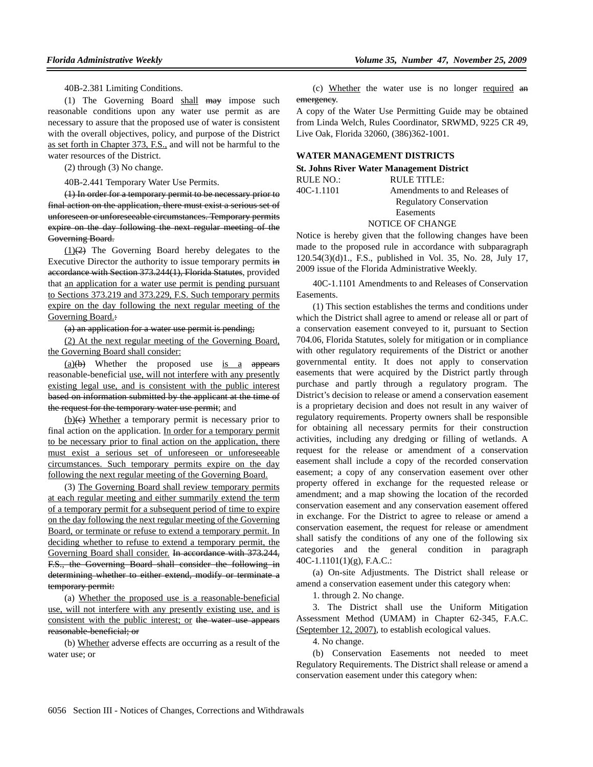40B-2.381 Limiting Conditions.

(1) The Governing Board shall may impose such reasonable conditions upon any water use permit as are necessary to assure that the proposed use of water is consistent with the overall objectives, policy, and purpose of the District as set forth in Chapter 373, F.S., and will not be harmful to the water resources of the District.

(2) through (3) No change.

40B-2.441 Temporary Water Use Permits.

(1) In order for a temporary permit to be necessary prior to final action on the application, there must exist a serious set of unforeseen or unforeseeable circumstances. Temporary permits expire on the day following the next regular meeting of the Governing Board.

 $(1)(2)$  The Governing Board hereby delegates to the Executive Director the authority to issue temporary permits in accordance with Section 373.244(1), Florida Statutes, provided that an application for a water use permit is pending pursuant to Sections 373.219 and 373.229, F.S. Such temporary permits expire on the day following the next regular meeting of the Governing Board.:

(a) an application for a water use permit is pending;

(2) At the next regular meeting of the Governing Board, the Governing Board shall consider:

 $(a)(b)$  Whether the proposed use is a appears reasonable-beneficial use, will not interfere with any presently existing legal use, and is consistent with the public interest based on information submitted by the applicant at the time of the request for the temporary water use permit; and

 $(b)(e)$  Whether a temporary permit is necessary prior to final action on the application. In order for a temporary permit to be necessary prior to final action on the application, there must exist a serious set of unforeseen or unforeseeable circumstances. Such temporary permits expire on the day following the next regular meeting of the Governing Board.

(3) The Governing Board shall review temporary permits at each regular meeting and either summarily extend the term of a temporary permit for a subsequent period of time to expire on the day following the next regular meeting of the Governing Board, or terminate or refuse to extend a temporary permit. In deciding whether to refuse to extend a temporary permit, the Governing Board shall consider. In accordance with 373.244, F.S., the Governing Board shall consider the following in determining whether to either extend, modify or terminate a temporary permit:

(a) Whether the proposed use is a reasonable-beneficial use, will not interfere with any presently existing use, and is consistent with the public interest; or the water use appears reasonable-beneficial; or

(b) Whether adverse effects are occurring as a result of the water use; or

(c) Whether the water use is no longer required an emergency.

A copy of the Water Use Permitting Guide may be obtained from Linda Welch, Rules Coordinator, SRWMD, 9225 CR 49, Live Oak, Florida 32060, (386)362-1001.

## **WATER MANAGEMENT DISTRICTS**

| <b>St. Johns River Water Management District</b> |                                |  |
|--------------------------------------------------|--------------------------------|--|
| RULE NO.:                                        | RULE TITLE:                    |  |
| 40C-1.1101                                       | Amendments to and Releases of  |  |
|                                                  | <b>Regulatory Conservation</b> |  |
|                                                  | Easements                      |  |
|                                                  |                                |  |

## NOTICE OF CHANGE

Notice is hereby given that the following changes have been made to the proposed rule in accordance with subparagraph 120.54(3)(d)1., F.S., published in Vol. 35, No. 28, July 17, 2009 issue of the Florida Administrative Weekly.

40C-1.1101 Amendments to and Releases of Conservation Easements.

(1) This section establishes the terms and conditions under which the District shall agree to amend or release all or part of a conservation easement conveyed to it, pursuant to Section 704.06, Florida Statutes, solely for mitigation or in compliance with other regulatory requirements of the District or another governmental entity. It does not apply to conservation easements that were acquired by the District partly through purchase and partly through a regulatory program. The District's decision to release or amend a conservation easement is a proprietary decision and does not result in any waiver of regulatory requirements. Property owners shall be responsible for obtaining all necessary permits for their construction activities, including any dredging or filling of wetlands. A request for the release or amendment of a conservation easement shall include a copy of the recorded conservation easement; a copy of any conservation easement over other property offered in exchange for the requested release or amendment; and a map showing the location of the recorded conservation easement and any conservation easement offered in exchange. For the District to agree to release or amend a conservation easement, the request for release or amendment shall satisfy the conditions of any one of the following six categories and the general condition in paragraph 40C-1.1101(1)(g), F.A.C.:

(a) On-site Adjustments. The District shall release or amend a conservation easement under this category when:

1. through 2. No change.

3. The District shall use the Uniform Mitigation Assessment Method (UMAM) in Chapter 62-345, F.A.C. (September 12, 2007), to establish ecological values.

4. No change.

(b) Conservation Easements not needed to meet Regulatory Requirements. The District shall release or amend a conservation easement under this category when: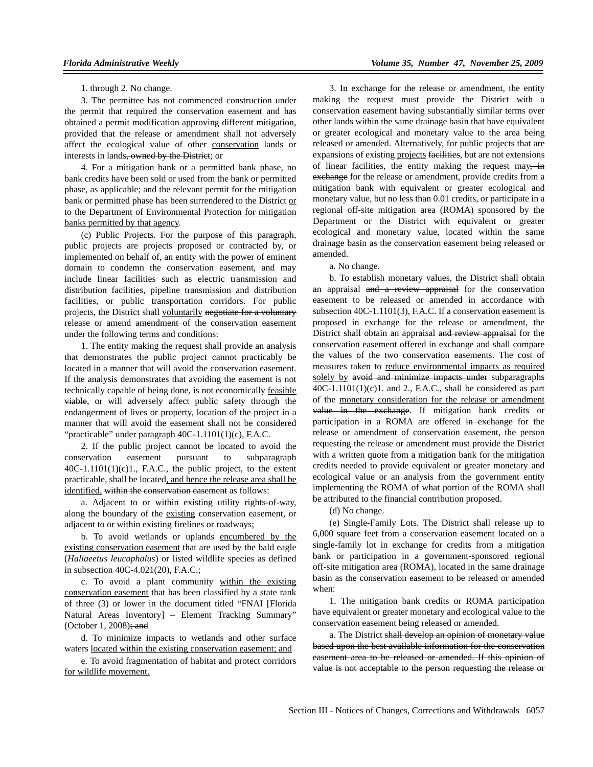1. through 2. No change.

3. The permittee has not commenced construction under the permit that required the conservation easement and has obtained a permit modification approving different mitigation, provided that the release or amendment shall not adversely affect the ecological value of other conservation lands or interests in lands, owned by the District; or

4. For a mitigation bank or a permitted bank phase, no bank credits have been sold or used from the bank or permitted phase, as applicable; and the relevant permit for the mitigation bank or permitted phase has been surrendered to the District or to the Department of Environmental Protection for mitigation banks permitted by that agency.

(c) Public Projects. For the purpose of this paragraph, public projects are projects proposed or contracted by, or implemented on behalf of, an entity with the power of eminent domain to condemn the conservation easement, and may include linear facilities such as electric transmission and distribution facilities, pipeline transmission and distribution facilities, or public transportation corridors. For public projects, the District shall voluntarily negotiate for a voluntary release or amend amendment of the conservation easement under the following terms and conditions:

1. The entity making the request shall provide an analysis that demonstrates the public project cannot practicably be located in a manner that will avoid the conservation easement. If the analysis demonstrates that avoiding the easement is not technically capable of being done, is not economically feasible viable, or will adversely affect public safety through the endangerment of lives or property, location of the project in a manner that will avoid the easement shall not be considered "practicable" under paragraph 40C-1.1101(1)(c), F.A.C.

2. If the public project cannot be located to avoid the conservation easement pursuant to subparagraph  $40C-1.1101(1)(c)1$ ., F.A.C., the public project, to the extent practicable, shall be located, and hence the release area shall be identified, within the conservation easement as follows:

a. Adjacent to or within existing utility rights-of-way, along the boundary of the existing conservation easement, or adjacent to or within existing firelines or roadways;

b. To avoid wetlands or uplands encumbered by the existing conservation easement that are used by the bald eagle (*Haliaeetus leucaphalus*) or listed wildlife species as defined in subsection 40C-4.021(20), F.A.C.;

c. To avoid a plant community within the existing conservation easement that has been classified by a state rank of three (3) or lower in the document titled "FNAI [Florida Natural Areas Inventory] – Element Tracking Summary" (October 1, 2008); and

d. To minimize impacts to wetlands and other surface waters located within the existing conservation easement; and

e. To avoid fragmentation of habitat and protect corridors for wildlife movement.

3. In exchange for the release or amendment, the entity making the request must provide the District with a conservation easement having substantially similar terms over other lands within the same drainage basin that have equivalent or greater ecological and monetary value to the area being released or amended. Alternatively, for public projects that are expansions of existing projects facilities, but are not extensions of linear facilities, the entity making the request may, in exchange for the release or amendment, provide credits from a mitigation bank with equivalent or greater ecological and monetary value, but no less than 0.01 credits, or participate in a regional off-site mitigation area (ROMA) sponsored by the Department or the District with equivalent or greater ecological and monetary value, located within the same drainage basin as the conservation easement being released or amended.

a. No change.

b. To establish monetary values, the District shall obtain an appraisal and a review appraisal for the conservation easement to be released or amended in accordance with subsection 40C-1.1101(3), F.A.C. If a conservation easement is proposed in exchange for the release or amendment, the District shall obtain an appraisal and review appraisal for the conservation easement offered in exchange and shall compare the values of the two conservation easements. The cost of measures taken to reduce environmental impacts as required solely by avoid and minimize impacts under subparagraphs  $40C-1.1101(1)(c)1$ . and 2., F.A.C., shall be considered as part of the monetary consideration for the release or amendment value in the exchange. If mitigation bank credits or participation in a ROMA are offered in exchange for the release or amendment of conservation easement, the person requesting the release or amendment must provide the District with a written quote from a mitigation bank for the mitigation credits needed to provide equivalent or greater monetary and ecological value or an analysis from the government entity implementing the ROMA of what portion of the ROMA shall be attributed to the financial contribution proposed.

(d) No change.

(e) Single-Family Lots. The District shall release up to 6,000 square feet from a conservation easement located on a single-family lot in exchange for credits from a mitigation bank or participation in a government-sponsored regional off-site mitigation area (ROMA), located in the same drainage basin as the conservation easement to be released or amended when:

1. The mitigation bank credits or ROMA participation have equivalent or greater monetary and ecological value to the conservation easement being released or amended.

a. The District shall develop an opinion of monetary value based upon the best available information for the conservation easement area to be released or amended. If this opinion of value is not acceptable to the person requesting the release or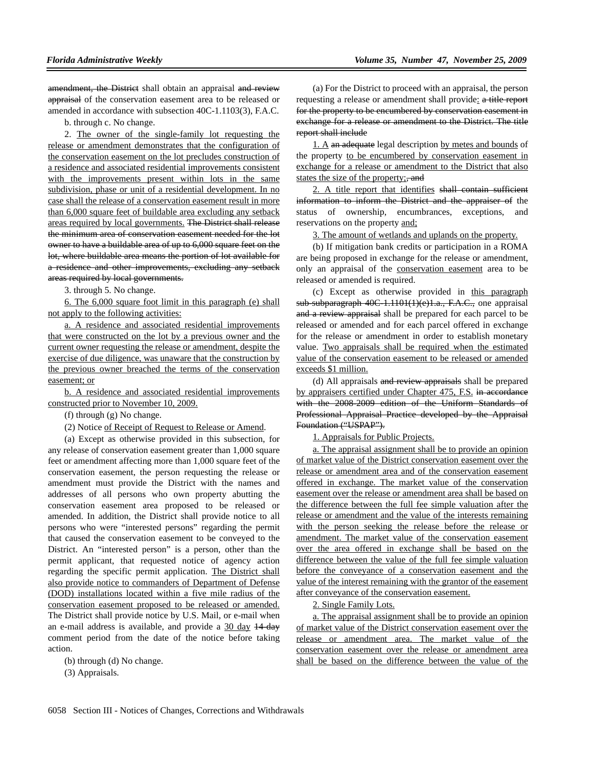amendment, the District shall obtain an appraisal and review appraisal of the conservation easement area to be released or amended in accordance with subsection 40C-1.1103(3), F.A.C.

b. through c. No change.

2. The owner of the single-family lot requesting the release or amendment demonstrates that the configuration of the conservation easement on the lot precludes construction of a residence and associated residential improvements consistent with the improvements present within lots in the same subdivision, phase or unit of a residential development. In no case shall the release of a conservation easement result in more than 6,000 square feet of buildable area excluding any setback areas required by local governments. The District shall release the minimum area of conservation easement needed for the lot owner to have a buildable area of up to 6,000 square feet on the lot, where buildable area means the portion of lot available for a residence and other improvements, excluding any setback areas required by local governments.

3. through 5. No change.

6. The 6,000 square foot limit in this paragraph (e) shall not apply to the following activities:

a. A residence and associated residential improvements that were constructed on the lot by a previous owner and the current owner requesting the release or amendment, despite the exercise of due diligence, was unaware that the construction by the previous owner breached the terms of the conservation easement; or

b. A residence and associated residential improvements constructed prior to November 10, 2009.

(f) through (g) No change.

(2) Notice of Receipt of Request to Release or Amend.

(a) Except as otherwise provided in this subsection, for any release of conservation easement greater than 1,000 square feet or amendment affecting more than 1,000 square feet of the conservation easement, the person requesting the release or amendment must provide the District with the names and addresses of all persons who own property abutting the conservation easement area proposed to be released or amended. In addition, the District shall provide notice to all persons who were "interested persons" regarding the permit that caused the conservation easement to be conveyed to the District. An "interested person" is a person, other than the permit applicant, that requested notice of agency action regarding the specific permit application. The District shall also provide notice to commanders of Department of Defense (DOD) installations located within a five mile radius of the conservation easement proposed to be released or amended. The District shall provide notice by U.S. Mail, or e-mail when an e-mail address is available, and provide a 30 day 14-day comment period from the date of the notice before taking action.

(b) through (d) No change.

(3) Appraisals.

(a) For the District to proceed with an appraisal, the person requesting a release or amendment shall provide: a title report for the property to be encumbered by conservation easement in exchange for a release or amendment to the District. The title report shall include

1. A an adequate legal description by metes and bounds of the property to be encumbered by conservation easement in exchange for a release or amendment to the District that also states the size of the property: and

2. A title report that identifies shall contain sufficient information to inform the District and the appraiser of the status of ownership, encumbrances, exceptions, and reservations on the property and;

3. The amount of wetlands and uplands on the property.

(b) If mitigation bank credits or participation in a ROMA are being proposed in exchange for the release or amendment, only an appraisal of the conservation easement area to be released or amended is required.

(c) Except as otherwise provided in this paragraph sub-subparagraph 40C-1.1101(1)(e)1.a., F.A.C., one appraisal and a review appraisal shall be prepared for each parcel to be released or amended and for each parcel offered in exchange for the release or amendment in order to establish monetary value. Two appraisals shall be required when the estimated value of the conservation easement to be released or amended exceeds \$1 million.

(d) All appraisals and review appraisals shall be prepared by appraisers certified under Chapter 475, F.S. in accordance with the 2008-2009 edition of the Uniform Standards of Professional Appraisal Practice developed by the Appraisal Foundation ("USPAP").

1. Appraisals for Public Projects.

a. The appraisal assignment shall be to provide an opinion of market value of the District conservation easement over the release or amendment area and of the conservation easement offered in exchange. The market value of the conservation easement over the release or amendment area shall be based on the difference between the full fee simple valuation after the release or amendment and the value of the interests remaining with the person seeking the release before the release or amendment. The market value of the conservation easement over the area offered in exchange shall be based on the difference between the value of the full fee simple valuation before the conveyance of a conservation easement and the value of the interest remaining with the grantor of the easement after conveyance of the conservation easement.

2. Single Family Lots.

a. The appraisal assignment shall be to provide an opinion of market value of the District conservation easement over the release or amendment area. The market value of the conservation easement over the release or amendment area shall be based on the difference between the value of the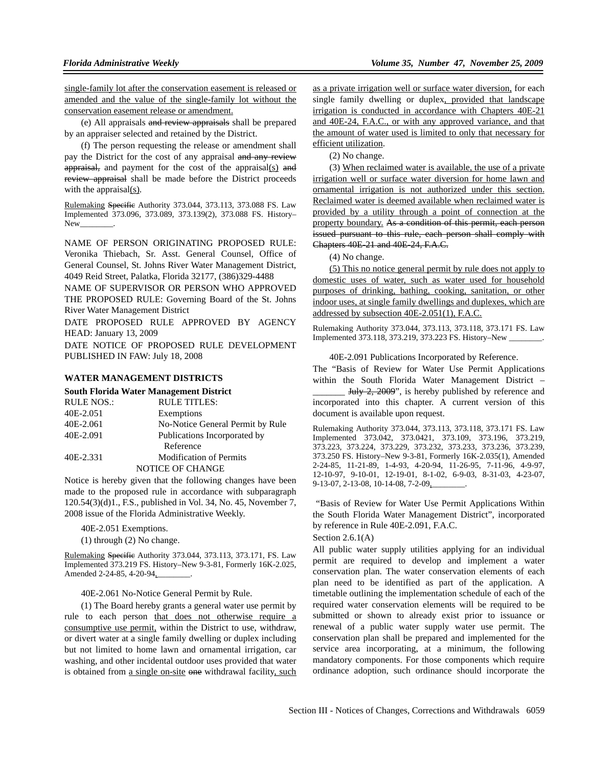single-family lot after the conservation easement is released or amended and the value of the single-family lot without the conservation easement release or amendment.

(e) All appraisals and review appraisals shall be prepared by an appraiser selected and retained by the District.

(f) The person requesting the release or amendment shall pay the District for the cost of any appraisal and any review appraisal, and payment for the cost of the appraisal(s) and review appraisal shall be made before the District proceeds with the appraisal(s).

Rulemaking Specific Authority 373.044, 373.113, 373.088 FS. Law Implemented 373.096, 373.089, 373.139(2), 373.088 FS. History– New\_\_\_\_\_\_\_\_.

NAME OF PERSON ORIGINATING PROPOSED RULE: Veronika Thiebach, Sr. Asst. General Counsel, Office of General Counsel, St. Johns River Water Management District, 4049 Reid Street, Palatka, Florida 32177, (386)329-4488

NAME OF SUPERVISOR OR PERSON WHO APPROVED THE PROPOSED RULE: Governing Board of the St. Johns River Water Management District

DATE PROPOSED RULE APPROVED BY AGENCY HEAD: January 13, 2009

DATE NOTICE OF PROPOSED RULE DEVELOPMENT PUBLISHED IN FAW: July 18, 2008

#### **WATER MANAGEMENT DISTRICTS**

#### **South Florida Water Management District**

| <b>RULE NOS.:</b> | <b>RULE TITLES:</b>              |
|-------------------|----------------------------------|
| 40E-2.051         | Exemptions                       |
| 40E-2.061         | No-Notice General Permit by Rule |
| 40E-2.091         | Publications Incorporated by     |
|                   | Reference                        |
| 40E-2.331         | <b>Modification of Permits</b>   |
|                   | <b>NOTICE OF CHANGE</b>          |

Notice is hereby given that the following changes have been made to the proposed rule in accordance with subparagraph 120.54(3)(d)1., F.S., published in Vol. 34, No. 45, November 7, 2008 issue of the Florida Administrative Weekly.

40E-2.051 Exemptions.

(1) through (2) No change.

Rulemaking Specific Authority 373.044, 373.113, 373.171, FS. Law Implemented 373.219 FS. History–New 9-3-81, Formerly 16K-2.025, Amended 2-24-85, 4-20-94,

40E-2.061 No-Notice General Permit by Rule.

(1) The Board hereby grants a general water use permit by rule to each person that does not otherwise require a consumptive use permit, within the District to use, withdraw, or divert water at a single family dwelling or duplex including but not limited to home lawn and ornamental irrigation, car washing, and other incidental outdoor uses provided that water is obtained from a single on-site one withdrawal facility, such

as a private irrigation well or surface water diversion, for each single family dwelling or duplex, provided that landscape irrigation is conducted in accordance with Chapters 40E-21 and 40E-24, F.A.C., or with any approved variance, and that the amount of water used is limited to only that necessary for efficient utilization.

(2) No change.

(3) When reclaimed water is available, the use of a private irrigation well or surface water diversion for home lawn and ornamental irrigation is not authorized under this section. Reclaimed water is deemed available when reclaimed water is provided by a utility through a point of connection at the property boundary. As a condition of this permit, each person issued pursuant to this rule, each person shall comply with Chapters 40E-21 and 40E-24, F.A.C.

(4) No change.

(5) This no notice general permit by rule does not apply to domestic uses of water, such as water used for household purposes of drinking, bathing, cooking, sanitation, or other indoor uses, at single family dwellings and duplexes, which are addressed by subsection 40E-2.051(1), F.A.C.

Rulemaking Authority 373.044, 373.113, 373.118, 373.171 FS. Law Implemented 373.118, 373.219, 373.223 FS. History-New \_

#### 40E-2.091 Publications Incorporated by Reference.

The "Basis of Review for Water Use Permit Applications within the South Florida Water Management District –

 $July 2, 2009$ ", is hereby published by reference and incorporated into this chapter. A current version of this document is available upon request.

Rulemaking Authority 373.044, 373.113, 373.118, 373.171 FS. Law Implemented 373.042, 373.0421, 373.109, 373.196, 373.219, 373.223, 373.224, 373.229, 373.232, 373.233, 373.236, 373.239, 373.250 FS. History–New 9-3-81, Formerly 16K-2.035(1), Amended 2-24-85, 11-21-89, 1-4-93, 4-20-94, 11-26-95, 7-11-96, 4-9-97, 12-10-97, 9-10-01, 12-19-01, 8-1-02, 6-9-03, 8-31-03, 4-23-07, 9-13-07, 2-13-08, 10-14-08, 7-2-09,

 "Basis of Review for Water Use Permit Applications Within the South Florida Water Management District", incorporated by reference in Rule 40E-2.091, F.A.C.

### Section  $2.6.1(A)$

All public water supply utilities applying for an individual permit are required to develop and implement a water conservation plan. The water conservation elements of each plan need to be identified as part of the application. A timetable outlining the implementation schedule of each of the required water conservation elements will be required to be submitted or shown to already exist prior to issuance or renewal of a public water supply water use permit. The conservation plan shall be prepared and implemented for the service area incorporating, at a minimum, the following mandatory components. For those components which require ordinance adoption, such ordinance should incorporate the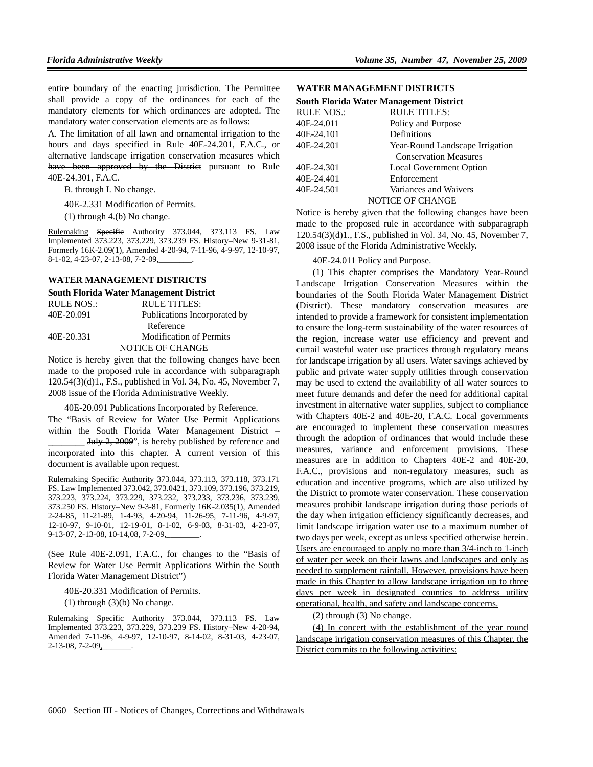entire boundary of the enacting jurisdiction. The Permittee shall provide a copy of the ordinances for each of the mandatory elements for which ordinances are adopted. The mandatory water conservation elements are as follows:

A. The limitation of all lawn and ornamental irrigation to the hours and days specified in Rule 40E-24.201, F.A.C., or alternative landscape irrigation conservation measures which have been approved by the District pursuant to Rule 40E-24.301, F.A.C.

B. through I. No change.

40E-2.331 Modification of Permits.

(1) through 4.(b) No change.

Rulemaking Specific Authority 373.044, 373.113 FS. Law Implemented 373.223, 373.229, 373.239 FS. History–New 9-31-81, Formerly 16K-2.09(1), Amended 4-20-94, 7-11-96, 4-9-97, 12-10-97, 8-1-02, 4-23-07, 2-13-08, 7-2-09,

#### **WATER MANAGEMENT DISTRICTS**

#### **South Florida Water Management District**

| RULE NOS.: | RULE TITLES:                   |
|------------|--------------------------------|
| 40E-20.091 | Publications Incorporated by   |
|            | Reference                      |
| 40E-20.331 | <b>Modification of Permits</b> |
|            | NOTICE OF CHANGE               |

Notice is hereby given that the following changes have been made to the proposed rule in accordance with subparagraph 120.54(3)(d)1., F.S., published in Vol. 34, No. 45, November 7, 2008 issue of the Florida Administrative Weekly.

40E-20.091 Publications Incorporated by Reference.

The "Basis of Review for Water Use Permit Applications within the South Florida Water Management District – July 2, 2009", is hereby published by reference and incorporated into this chapter. A current version of this

Rulemaking Specific Authority 373.044, 373.113, 373.118, 373.171 FS. Law Implemented 373.042, 373.0421, 373.109, 373.196, 373.219, 373.223, 373.224, 373.229, 373.232, 373.233, 373.236, 373.239, 373.250 FS. History–New 9-3-81, Formerly 16K-2.035(1), Amended 2-24-85, 11-21-89, 1-4-93, 4-20-94, 11-26-95, 7-11-96, 4-9-97, 12-10-97, 9-10-01, 12-19-01, 8-1-02, 6-9-03, 8-31-03, 4-23-07, 9-13-07, 2-13-08, 10-14,08, 7-2-09,

(See Rule 40E-2.091, F.A.C., for changes to the "Basis of Review for Water Use Permit Applications Within the South Florida Water Management District")

40E-20.331 Modification of Permits.

 $(1)$  through  $(3)(b)$  No change.

document is available upon request.

Rulemaking Specific Authority 373.044, 373.113 FS. Law Implemented 373.223, 373.229, 373.239 FS. History–New 4-20-94, Amended 7-11-96, 4-9-97, 12-10-97, 8-14-02, 8-31-03, 4-23-07, 2-13-08, 7-2-09,\_\_\_\_\_\_\_.

### **WATER MANAGEMENT DISTRICTS**

#### **South Florida Water Management District**

| <b>RULE NOS.:</b> | <b>RULE TITLES:</b>             |
|-------------------|---------------------------------|
| 40E-24.011        | Policy and Purpose              |
| 40E-24.101        | Definitions                     |
| 40E-24.201        | Year-Round Landscape Irrigation |
|                   | <b>Conservation Measures</b>    |
| 40E-24.301        | <b>Local Government Option</b>  |
| 40E-24.401        | Enforcement                     |
| 40E-24.501        | Variances and Waivers           |
|                   | <b>NOTICE OF CHANGE</b>         |

Notice is hereby given that the following changes have been made to the proposed rule in accordance with subparagraph 120.54(3)(d)1., F.S., published in Vol. 34, No. 45, November 7, 2008 issue of the Florida Administrative Weekly.

40E-24.011 Policy and Purpose.

(1) This chapter comprises the Mandatory Year-Round Landscape Irrigation Conservation Measures within the boundaries of the South Florida Water Management District (District). These mandatory conservation measures are intended to provide a framework for consistent implementation to ensure the long-term sustainability of the water resources of the region, increase water use efficiency and prevent and curtail wasteful water use practices through regulatory means for landscape irrigation by all users. Water savings achieved by public and private water supply utilities through conservation may be used to extend the availability of all water sources to meet future demands and defer the need for additional capital investment in alternative water supplies, subject to compliance with Chapters 40E-2 and 40E-20, F.A.C. Local governments are encouraged to implement these conservation measures through the adoption of ordinances that would include these measures, variance and enforcement provisions. These measures are in addition to Chapters 40E-2 and 40E-20, F.A.C., provisions and non-regulatory measures, such as education and incentive programs, which are also utilized by the District to promote water conservation. These conservation measures prohibit landscape irrigation during those periods of the day when irrigation efficiency significantly decreases, and limit landscape irrigation water use to a maximum number of two days per week, except as unless specified otherwise herein. Users are encouraged to apply no more than 3/4-inch to 1-inch of water per week on their lawns and landscapes and only as needed to supplement rainfall. However, provisions have been made in this Chapter to allow landscape irrigation up to three days per week in designated counties to address utility operational, health, and safety and landscape concerns.

(2) through (3) No change.

(4) In concert with the establishment of the year round landscape irrigation conservation measures of this Chapter, the District commits to the following activities: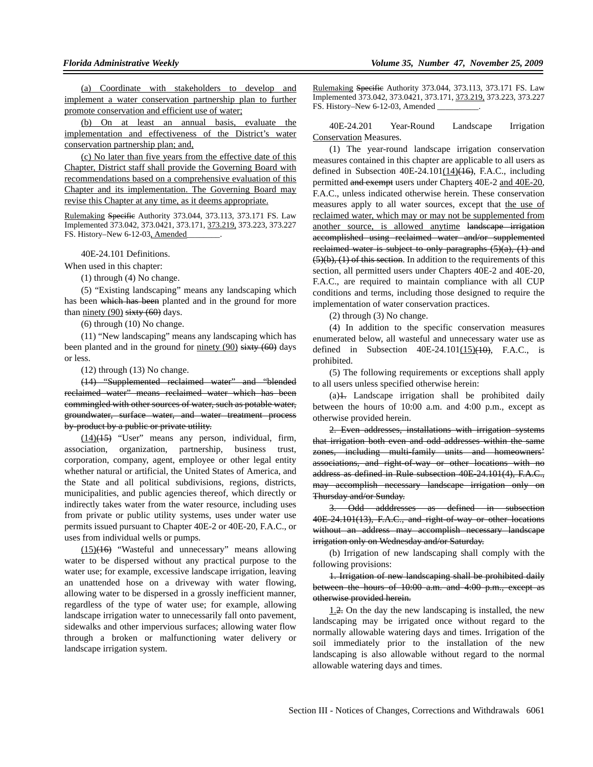(a) Coordinate with stakeholders to develop and implement a water conservation partnership plan to further promote conservation and efficient use of water;

(b) On at least an annual basis, evaluate the implementation and effectiveness of the District's water conservation partnership plan; and,

(c) No later than five years from the effective date of this Chapter, District staff shall provide the Governing Board with recommendations based on a comprehensive evaluation of this Chapter and its implementation. The Governing Board may revise this Chapter at any time, as it deems appropriate.

Rulemaking Specific Authority 373.044, 373.113, 373.171 FS. Law Implemented 373.042, 373.0421, 373.171, 373.219, 373.223, 373.227 FS. History–New 6-12-03, Amended\_\_\_\_\_\_\_\_.

40E-24.101 Definitions.

When used in this chapter:

(1) through (4) No change.

(5) "Existing landscaping" means any landscaping which has been which has been planted and in the ground for more than ninety  $(90)$  sixty  $(60)$  days.

(6) through (10) No change.

(11) "New landscaping" means any landscaping which has been planted and in the ground for ninety (90)  $\frac{1}{\text{stxty}}$  (60) days or less.

(12) through (13) No change.

(14) "Supplemented reclaimed water" and "blended reclaimed water" means reclaimed water which has been commingled with other sources of water, such as potable water, groundwater, surface water, and water treatment process by-product by a public or private utility.

 $(14)$ (15) "User" means any person, individual, firm, association, organization, partnership, business trust, corporation, company, agent, employee or other legal entity whether natural or artificial, the United States of America, and the State and all political subdivisions, regions, districts, municipalities, and public agencies thereof, which directly or indirectly takes water from the water resource, including uses from private or public utility systems, uses under water use permits issued pursuant to Chapter 40E-2 or 40E-20, F.A.C., or uses from individual wells or pumps.

 $(15)(16)$  "Wasteful and unnecessary" means allowing water to be dispersed without any practical purpose to the water use; for example, excessive landscape irrigation, leaving an unattended hose on a driveway with water flowing, allowing water to be dispersed in a grossly inefficient manner, regardless of the type of water use; for example, allowing landscape irrigation water to unnecessarily fall onto pavement, sidewalks and other impervious surfaces; allowing water flow through a broken or malfunctioning water delivery or landscape irrigation system.

Rulemaking Specific Authority 373.044, 373.113, 373.171 FS. Law Implemented 373.042, 373.0421, 373.171, 373.219, 373.223, 373.227 FS. History–New 6-12-03, Amended

40E-24.201 Year-Round Landscape Irrigation Conservation Measures.

(1) The year-round landscape irrigation conservation measures contained in this chapter are applicable to all users as defined in Subsection  $40E-24.101(14)$  $\leftrightarrow$  F.A.C., including permitted and exempt users under Chapters 40E-2 and 40E-20, F.A.C., unless indicated otherwise herein. These conservation measures apply to all water sources, except that the use of reclaimed water, which may or may not be supplemented from another source, is allowed anytime landscape irrigation accomplished using reclaimed water and/or supplemented reclaimed water is subject to only paragraphs  $(5)(a)$ ,  $(1)$  and  $(5)(b)$ ,  $(1)$  of this section. In addition to the requirements of this section, all permitted users under Chapters 40E-2 and 40E-20, F.A.C., are required to maintain compliance with all CUP conditions and terms, including those designed to require the implementation of water conservation practices.

(2) through (3) No change.

(4) In addition to the specific conservation measures enumerated below, all wasteful and unnecessary water use as defined in Subsection  $40E-24.101(15)(10)$ , F.A.C., is prohibited.

(5) The following requirements or exceptions shall apply to all users unless specified otherwise herein:

(a)1. Landscape irrigation shall be prohibited daily between the hours of 10:00 a.m. and 4:00 p.m., except as otherwise provided herein.

2. Even addresses, installations with irrigation systems that irrigation both even and odd addresses within the same zones, including multi-family units and homeowners' associations, and right-of-way or other locations with no address as defined in Rule subsection 40E-24.101(4), F.A.C., may accomplish necessary landscape irrigation only on Thursday and/or Sunday.

3. Odd adddresses as defined in subsection 40E-24.101(13), F.A.C., and right-of-way or other locations without an address may accomplish necessary landscape irrigation only on Wednesday and/or Saturday.

(b) Irrigation of new landscaping shall comply with the following provisions:

1. Irrigation of new landscaping shall be prohibited daily between the hours of 10:00 a.m. and 4:00 p.m., except as otherwise provided herein.

1.2. On the day the new landscaping is installed, the new landscaping may be irrigated once without regard to the normally allowable watering days and times. Irrigation of the soil immediately prior to the installation of the new landscaping is also allowable without regard to the normal allowable watering days and times.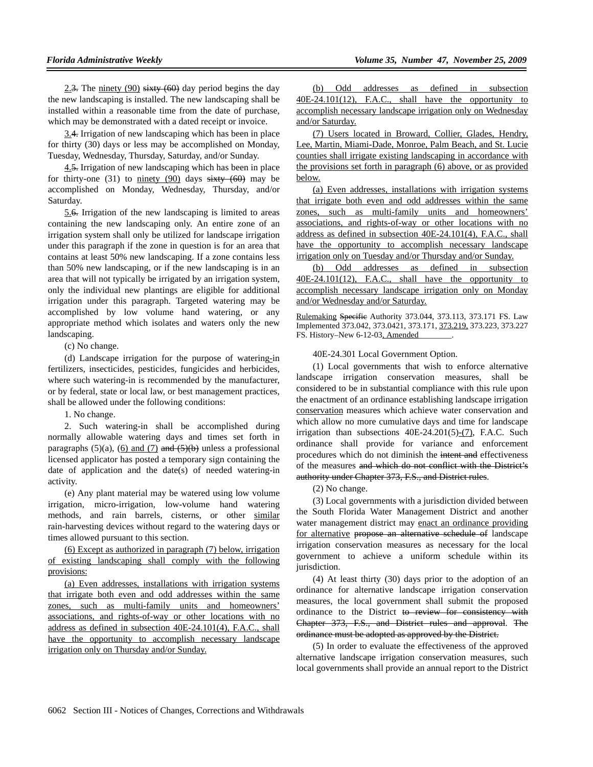2.3. The ninety (90) sixty (60) day period begins the day the new landscaping is installed. The new landscaping shall be installed within a reasonable time from the date of purchase, which may be demonstrated with a dated receipt or invoice.

3.4. Irrigation of new landscaping which has been in place for thirty (30) days or less may be accomplished on Monday, Tuesday, Wednesday, Thursday, Saturday, and/or Sunday.

4.5. Irrigation of new landscaping which has been in place for thirty-one (31) to ninety (90) days  $s$  is  $(60)$  may be accomplished on Monday, Wednesday, Thursday, and/or Saturday.

5.6. Irrigation of the new landscaping is limited to areas containing the new landscaping only. An entire zone of an irrigation system shall only be utilized for landscape irrigation under this paragraph if the zone in question is for an area that contains at least 50% new landscaping. If a zone contains less than 50% new landscaping, or if the new landscaping is in an area that will not typically be irrigated by an irrigation system, only the individual new plantings are eligible for additional irrigation under this paragraph. Targeted watering may be accomplished by low volume hand watering, or any appropriate method which isolates and waters only the new landscaping.

(c) No change.

(d) Landscape irrigation for the purpose of watering-in fertilizers, insecticides, pesticides, fungicides and herbicides, where such watering-in is recommended by the manufacturer, or by federal, state or local law, or best management practices, shall be allowed under the following conditions:

1. No change.

2. Such watering-in shall be accomplished during normally allowable watering days and times set forth in paragraphs (5)(a), (6) and (7) and  $(5)(b)$  unless a professional licensed applicator has posted a temporary sign containing the date of application and the date(s) of needed watering-in activity.

(e) Any plant material may be watered using low volume irrigation, micro-irrigation, low-volume hand watering methods, and rain barrels, cisterns, or other similar rain-harvesting devices without regard to the watering days or times allowed pursuant to this section.

(6) Except as authorized in paragraph (7) below, irrigation of existing landscaping shall comply with the following provisions:

(a) Even addresses, installations with irrigation systems that irrigate both even and odd addresses within the same zones, such as multi-family units and homeowners' associations, and rights-of-way or other locations with no address as defined in subsection 40E-24.101(4), F.A.C., shall have the opportunity to accomplish necessary landscape irrigation only on Thursday and/or Sunday.

(b) Odd addresses as defined in subsection 40E-24.101(12), F.A.C., shall have the opportunity to accomplish necessary landscape irrigation only on Wednesday and/or Saturday.

(7) Users located in Broward, Collier, Glades, Hendry, Lee, Martin, Miami-Dade, Monroe, Palm Beach, and St. Lucie counties shall irrigate existing landscaping in accordance with the provisions set forth in paragraph (6) above, or as provided below.

(a) Even addresses, installations with irrigation systems that irrigate both even and odd addresses within the same zones, such as multi-family units and homeowners' associations, and rights-of-way or other locations with no address as defined in subsection 40E-24.101(4), F.A.C., shall have the opportunity to accomplish necessary landscape irrigation only on Tuesday and/or Thursday and/or Sunday.

(b) Odd addresses as defined in subsection 40E-24.101(12), F.A.C., shall have the opportunity to accomplish necessary landscape irrigation only on Monday and/or Wednesday and/or Saturday.

Rulemaking Specifie Authority 373.044, 373.113, 373.171 FS. Law Implemented 373.042, 373.0421, 373.171, 373.219, 373.223, 373.227 FS. History–New 6-12-03, Amended

40E-24.301 Local Government Option.

(1) Local governments that wish to enforce alternative landscape irrigation conservation measures, shall be considered to be in substantial compliance with this rule upon the enactment of an ordinance establishing landscape irrigation conservation measures which achieve water conservation and which allow no more cumulative days and time for landscape irrigation than subsections  $40E-24.201(5)-(7)$ , F.A.C. Such ordinance shall provide for variance and enforcement procedures which do not diminish the intent and effectiveness of the measures and which do not conflict with the District's authority under Chapter 373, F.S., and District rules.

(2) No change.

(3) Local governments with a jurisdiction divided between the South Florida Water Management District and another water management district may enact an ordinance providing for alternative propose an alternative schedule of landscape irrigation conservation measures as necessary for the local government to achieve a uniform schedule within its jurisdiction.

(4) At least thirty (30) days prior to the adoption of an ordinance for alternative landscape irrigation conservation measures, the local government shall submit the proposed ordinance to the District to review for consistency with Chapter 373, F.S., and District rules and approval. The ordinance must be adopted as approved by the District.

(5) In order to evaluate the effectiveness of the approved alternative landscape irrigation conservation measures, such local governments shall provide an annual report to the District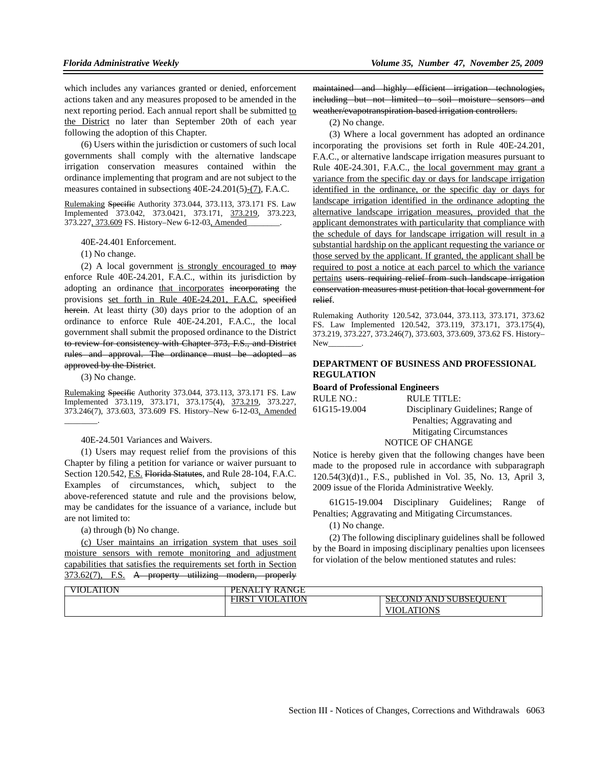which includes any variances granted or denied, enforcement actions taken and any measures proposed to be amended in the next reporting period. Each annual report shall be submitted to the District no later than September 20th of each year following the adoption of this Chapter.

(6) Users within the jurisdiction or customers of such local governments shall comply with the alternative landscape irrigation conservation measures contained within the ordinance implementing that program and are not subject to the measures contained in subsections 40E-24.201(5)-(7), F.A.C.

Rulemaking Specific Authority 373.044, 373.113, 373.171 FS. Law Implemented 373.042, 373.0421, 373.171, 373.219, 373.223, 373.227, 373.609 FS. History–New 6-12-03, Amended\_\_\_\_\_\_\_\_.

40E-24.401 Enforcement.

(1) No change.

(2) A local government is strongly encouraged to may enforce Rule 40E-24.201, F.A.C., within its jurisdiction by adopting an ordinance that incorporates incorporating the provisions set forth in Rule 40E-24.201, F.A.C. specified herein. At least thirty (30) days prior to the adoption of an ordinance to enforce Rule 40E-24.201, F.A.C., the local government shall submit the proposed ordinance to the District to review for consistency with Chapter 373, F.S., and District rules and approval. The ordinance must be adopted as approved by the District.

(3) No change.

Rulemaking Specific Authority 373.044, 373.113, 373.171 FS. Law Implemented 373.119, 373.171, 373.175(4), 373.219, 373.227, 373.246(7), 373.603, 373.609 FS. History–New 6-12-03, Amended \_\_\_\_\_\_\_\_.

40E-24.501 Variances and Waivers.

(1) Users may request relief from the provisions of this Chapter by filing a petition for variance or waiver pursuant to Section 120.542, E.S. Florida Statutes, and Rule 28-104, F.A.C. Examples of circumstances, which, subject to the above-referenced statute and rule and the provisions below, may be candidates for the issuance of a variance, include but are not limited to:

(a) through (b) No change.

(c) User maintains an irrigation system that uses soil moisture sensors with remote monitoring and adjustment capabilities that satisfies the requirements set forth in Section 373.62(7), F.S. A property utilizing modern, properly

maintained and highly efficient irrigation technologies, including but not limited to soil moisture sensors and weather/evapotranspiration-based irrigation controllers.

(2) No change.

(3) Where a local government has adopted an ordinance incorporating the provisions set forth in Rule 40E-24.201, F.A.C., or alternative landscape irrigation measures pursuant to Rule 40E-24.301, F.A.C., the local government may grant a variance from the specific day or days for landscape irrigation identified in the ordinance, or the specific day or days for landscape irrigation identified in the ordinance adopting the alternative landscape irrigation measures, provided that the applicant demonstrates with particularity that compliance with the schedule of days for landscape irrigation will result in a substantial hardship on the applicant requesting the variance or those served by the applicant. If granted, the applicant shall be required to post a notice at each parcel to which the variance pertains users requiring relief from such landscape irrigation conservation measures must petition that local government for relief.

Rulemaking Authority 120.542, 373.044, 373.113, 373.171, 373.62 FS. Law Implemented 120.542, 373.119, 373.171, 373.175(4), 373.219, 373.227, 373.246(7), 373.603, 373.609, 373.62 FS. History– New

## **DEPARTMENT OF BUSINESS AND PROFESSIONAL REGULATION**

**Board of Professional Engineers**

| RULE NO.:    | RULE TITLE:                       |
|--------------|-----------------------------------|
| 61G15-19.004 | Disciplinary Guidelines; Range of |
|              | Penalties; Aggravating and        |
|              | <b>Mitigating Circumstances</b>   |
|              | NOTICE OF CHANGE                  |

Notice is hereby given that the following changes have been made to the proposed rule in accordance with subparagraph 120.54(3)(d)1., F.S., published in Vol. 35, No. 13, April 3, 2009 issue of the Florida Administrative Weekly.

61G15-19.004 Disciplinary Guidelines; Range of Penalties; Aggravating and Mitigating Circumstances.

(1) No change.

(2) The following disciplinary guidelines shall be followed by the Board in imposing disciplinary penalties upon licensees for violation of the below mentioned statutes and rules:

| <b>TION</b><br>/IOL | RANGE<br>$P_{\rm Eu}$<br>- NAL 1<br>`∨ |                                                       |
|---------------------|----------------------------------------|-------------------------------------------------------|
|                     | <b>ATION</b><br>м<br>'IKS              | .FN"<br>'OND<br>AND SUBSEC<br>$\sim$ 0 D 1 1 1 $\sim$ |
|                     |                                        | ATIONS<br>$\Lambda$ i<br>н                            |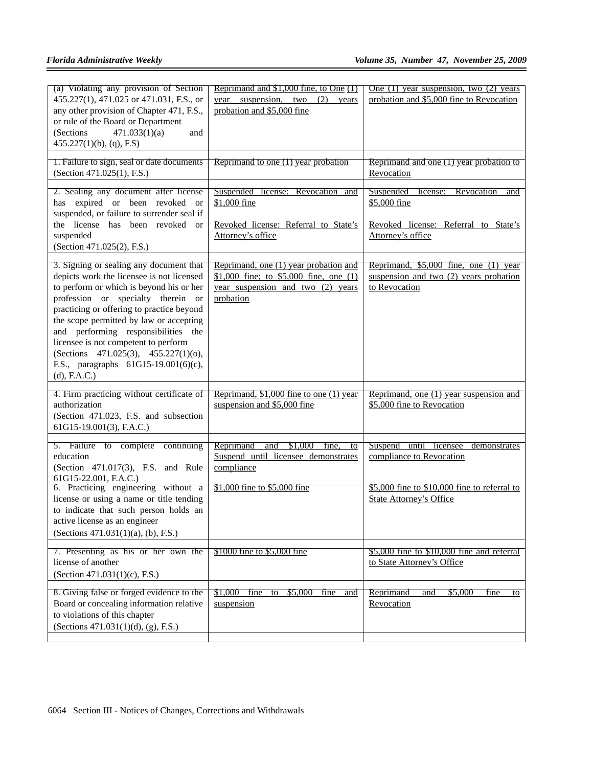| (a) Violating any provision of Section<br>455.227(1), 471.025 or 471.031, F.S., or<br>any other provision of Chapter 471, F.S.,<br>or rule of the Board or Department<br>(Sections)<br>471.033(1)(a)<br>and<br>$455.227(1)(b)$ , (q), F.S)                                                                                                                                                                                                       | Reprimand and \$1,000 fine, to One (1)<br>year suspension, two<br>(2)<br>years<br>probation and \$5,000 fine                          | One $(1)$ year suspension, two $(2)$ years<br>probation and \$5,000 fine to Revocation                               |
|--------------------------------------------------------------------------------------------------------------------------------------------------------------------------------------------------------------------------------------------------------------------------------------------------------------------------------------------------------------------------------------------------------------------------------------------------|---------------------------------------------------------------------------------------------------------------------------------------|----------------------------------------------------------------------------------------------------------------------|
| 1. Failure to sign, seal or date documents<br>(Section 471.025(1), F.S.)                                                                                                                                                                                                                                                                                                                                                                         | Reprimand to one (1) year probation                                                                                                   | Reprimand and one (1) year probation to<br>Revocation                                                                |
| 2. Sealing any document after license<br>has expired or been revoked or<br>suspended, or failure to surrender seal if<br>the license has been revoked or<br>suspended<br>(Section 471.025(2), F.S.)                                                                                                                                                                                                                                              | Suspended license: Revocation and<br>\$1,000 fine<br>Revoked license: Referral to State's<br>Attorney's office                        | Suspended license:<br>Revocation<br>and<br>\$5,000 fine<br>Revoked license: Referral to State's<br>Attorney's office |
| 3. Signing or sealing any document that<br>depicts work the licensee is not licensed<br>to perform or which is beyond his or her<br>profession or specialty therein or<br>practicing or offering to practice beyond<br>the scope permitted by law or accepting<br>and performing responsibilities the<br>licensee is not competent to perform<br>(Sections 471.025(3), 455.227(1)(0),<br>F.S., paragraphs 61G15-19.001(6)(c),<br>$(d)$ , F.A.C.) | Reprimand, one (1) year probation and<br>\$1,000 fine; to \$5,000 fine, one $(1)$<br>year suspension and two $(2)$ years<br>probation | Reprimand, \$5,000 fine, one (1) year<br>suspension and two (2) years probation<br>to Revocation                     |
| 4. Firm practicing without certificate of<br>authorization<br>(Section 471.023, F.S. and subsection<br>61G15-19.001(3), F.A.C.)                                                                                                                                                                                                                                                                                                                  | Reprimand, $$1,000$ fine to one (1) year<br>suspension and \$5,000 fine                                                               | Reprimand, one (1) year suspension and<br>\$5,000 fine to Revocation                                                 |
| 5. Failure to complete<br>continuing<br>education<br>(Section 471.017(3), F.S. and Rule<br>61G15-22.001, F.A.C.)                                                                                                                                                                                                                                                                                                                                 | Reprimand<br>and $$1,000$ fine,<br>to<br>Suspend until licensee demonstrates<br>compliance                                            | Suspend until licensee demonstrates<br>compliance to Revocation                                                      |
| 6. Practicing engineering without a<br>license or using a name or title tending<br>to indicate that such person holds an<br>active license as an engineer<br>(Sections 471.031(1)(a), (b), F.S.)                                                                                                                                                                                                                                                 | \$1,000 fine to \$5,000 fine                                                                                                          | $$5,000$ fine to $$10,000$ fine to referral to<br><b>State Attorney's Office</b>                                     |
| 7. Presenting as his or her own the<br>license of another<br>(Section 471.031(1)(c), F.S.)                                                                                                                                                                                                                                                                                                                                                       | \$1000 fine to \$5,000 fine                                                                                                           | $$5,000$ fine to $$10,000$ fine and referral<br>to State Attorney's Office                                           |
| 8. Giving false or forged evidence to the<br>Board or concealing information relative<br>to violations of this chapter<br>(Sections 471.031(1)(d), (g), F.S.)                                                                                                                                                                                                                                                                                    | \$1,000 fine<br>\$5,000<br>to<br>fine<br>and<br>suspension                                                                            | Reprimand<br>\$5,000<br>fine<br>and<br>to<br>Revocation                                                              |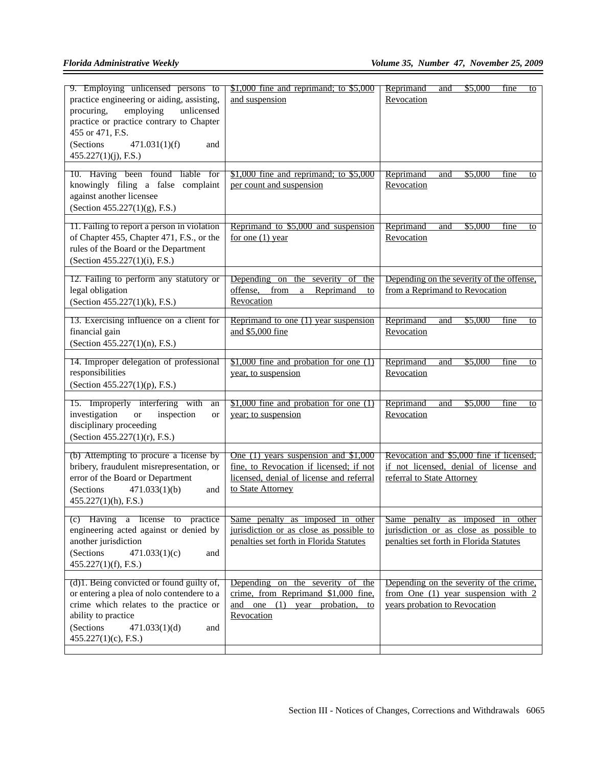| 9. Employing unlicensed persons to<br>practice engineering or aiding, assisting,<br>employing<br>unlicensed<br>procuring.<br>practice or practice contrary to Chapter<br>455 or 471, F.S.<br>(Sections)<br>471.031(1)(f)<br>and<br>$455.227(1)(j)$ , F.S.) | $$1,000$ fine and reprimand; to $$5,000$<br>and suspension                                                                                         | Reprimand<br>\$5,000<br>and<br>fine<br>to<br>Revocation                                                                |
|------------------------------------------------------------------------------------------------------------------------------------------------------------------------------------------------------------------------------------------------------------|----------------------------------------------------------------------------------------------------------------------------------------------------|------------------------------------------------------------------------------------------------------------------------|
| 10. Having been found liable<br>for<br>knowingly filing a false complaint<br>against another licensee<br>(Section $455.227(1)(g)$ , F.S.)                                                                                                                  | $$1,000$ fine and reprimand; to $$5,000$<br>per count and suspension                                                                               | Reprimand<br>\$5,000<br>and<br>fine<br>to<br>Revocation                                                                |
| 11. Failing to report a person in violation<br>of Chapter 455, Chapter 471, F.S., or the<br>rules of the Board or the Department<br>(Section 455.227(1)(i), F.S.)                                                                                          | Reprimand to \$5,000 and suspension<br>for one $(1)$ year                                                                                          | Reprimand<br>\$5,000<br>and<br>fine<br>to<br>Revocation                                                                |
| 12. Failing to perform any statutory or<br>legal obligation<br>(Section 455.227(1)(k), F.S.)                                                                                                                                                               | Depending<br>the<br>severity<br>on<br>-of<br>the<br>offense,<br>from<br>Reprimand<br>$\mathbf{a}$<br>to<br>Revocation                              | Depending on the severity of the offense,<br>from a Reprimand to Revocation                                            |
| 13. Exercising influence on a client for<br>financial gain<br>(Section $455.227(1)(n)$ , F.S.)                                                                                                                                                             | Reprimand to one $(1)$ year suspension<br>and \$5,000 fine                                                                                         | Reprimand<br>\$5,000<br>fine<br>and<br>to<br>Revocation                                                                |
| 14. Improper delegation of professional<br>responsibilities<br>(Section 455.227(1)(p), F.S.)                                                                                                                                                               | $$1,000$ fine and probation for one (1)<br>year, to suspension                                                                                     | Reprimand<br>\$5,000<br>and<br>fine<br>to<br>Revocation                                                                |
| 15. Improperly interfering with<br>an<br>investigation<br><b>or</b><br>inspection<br><sub>or</sub><br>disciplinary proceeding<br>(Section 455.227(1)(r), F.S.)                                                                                             | $$1,000$ fine and probation for one (1)<br>year; to suspension                                                                                     | Reprimand<br>and<br>\$5,000<br>fine<br>to<br>Revocation                                                                |
| (b) Attempting to procure a license by<br>bribery, fraudulent misrepresentation, or<br>error of the Board or Department<br>471.033(1)(b)<br>(Sections)<br>and<br>$455.227(1)(h)$ , F.S.)                                                                   | One $(1)$ years suspension and \$1,000<br>fine, to Revocation if licensed; if not<br>licensed, denial of license and referral<br>to State Attorney | Revocation and \$5,000 fine if licensed;<br>if not licensed, denial of license and<br>referral to State Attorney       |
| (c) Having a license to practice<br>engineering acted against or denied by<br>another jurisdiction<br>(Sections)<br>471.033(1)(c)<br>and<br>$455.227(1)(f)$ , F.S.)                                                                                        | Same penalty as imposed in other<br>jurisdiction or as close as possible to<br>penalties set forth in Florida Statutes                             | Same penalty as imposed in other<br>jurisdiction or as close as possible to<br>penalties set forth in Florida Statutes |
| (d) 1. Being convicted or found guilty of,<br>or entering a plea of nolo contendere to a<br>crime which relates to the practice or<br>ability to practice<br>(Sections<br>471.033(1)(d)<br>and<br>$455.227(1)(c)$ , F.S.)                                  | Depending on the severity of the<br>crime, from Reprimand \$1,000 fine,<br>and one (1) year probation, to<br>Revocation                            | Depending on the severity of the crime.<br>from One $(1)$ year suspension with 2<br>years probation to Revocation      |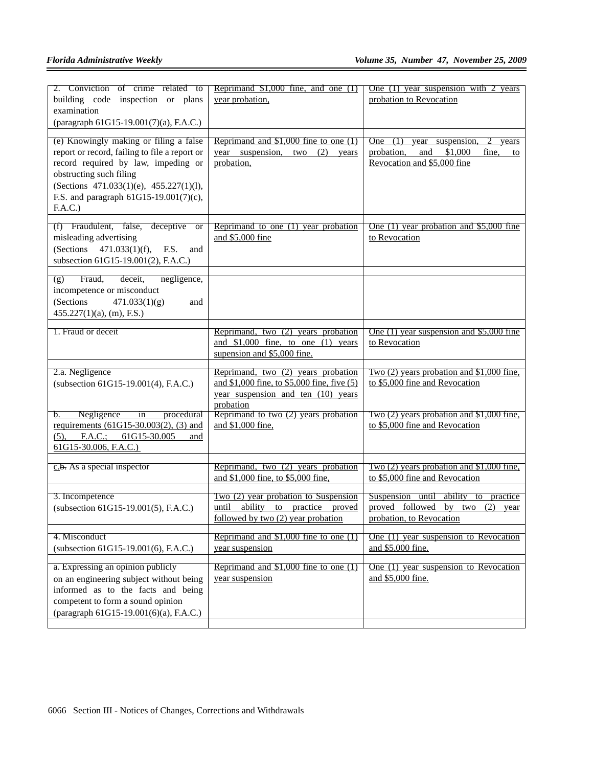| 2. Conviction of crime related to<br>building code inspection or plans<br>examination<br>(paragraph 61G15-19.001(7)(a), F.A.C.)                                                                                                                              | Reprimand $$1,000$ fine, and one $(1)$<br>year probation,                                                                            | One $(1)$ year suspension with 2 years<br>probation to Revocation                                                              |
|--------------------------------------------------------------------------------------------------------------------------------------------------------------------------------------------------------------------------------------------------------------|--------------------------------------------------------------------------------------------------------------------------------------|--------------------------------------------------------------------------------------------------------------------------------|
| (e) Knowingly making or filing a false<br>report or record, failing to file a report or<br>record required by law, impeding or<br>obstructing such filing<br>(Sections 471.033(1)(e), 455.227(1)(l),<br>F.S. and paragraph $61G15-19.001(7)(c)$ ,<br>F.A.C.) | Reprimand and $$1,000$ fine to one (1)<br>year suspension,<br>two<br>(2)<br>years<br>probation,                                      | <b>One</b><br>(1)<br>year<br>suspension<br>years<br>probation.<br>and<br>\$1,000<br>fine.<br>to<br>Revocation and \$5,000 fine |
| (f) Fraudulent, false, deceptive<br><b>or</b><br>misleading advertising<br>(Sections<br>$471.033(1)(f)$ ,<br>F.S.<br>and<br>subsection 61G15-19.001(2), F.A.C.)                                                                                              | Reprimand to one (1) year probation<br>and \$5,000 fine                                                                              | One $(1)$ year probation and \$5,000 fine<br>to Revocation                                                                     |
| Fraud,<br>deceit,<br>negligence,<br>(g)<br>incompetence or misconduct<br>(Sections<br>471.033(1)(g)<br>and<br>$455.227(1)(a)$ , (m), F.S.)                                                                                                                   |                                                                                                                                      |                                                                                                                                |
| 1. Fraud or deceit                                                                                                                                                                                                                                           | Reprimand, two (2) years probation<br>and $$1,000$ fine, to one (1) years<br>supension and \$5,000 fine.                             | One $(1)$ year suspension and \$5,000 fine<br>to Revocation                                                                    |
| 2.a. Negligence<br>(subsection 61G15-19.001(4), F.A.C.)                                                                                                                                                                                                      | Reprimand, two (2) years probation<br>and \$1,000 fine, to \$5,000 fine, five (5)<br>year suspension and ten (10) years<br>probation | Two $(2)$ years probation and \$1,000 fine.<br>to \$5,000 fine and Revocation                                                  |
| Negligence<br>procedural<br>in<br>b.<br>requirements $(61G15-30.003(2), (3)$ and<br>$(5)$ , F.A.C.; $61G15-30.005$<br>and<br>$61G15-30.006$ , F.A.C.)                                                                                                        | Reprimand to two (2) years probation<br>and \$1,000 fine,                                                                            | Two $(2)$ years probation and \$1,000 fine,<br>to \$5,000 fine and Revocation                                                  |
| $c.b.$ As a special inspector                                                                                                                                                                                                                                | Reprimand, two (2) years probation<br>and \$1,000 fine, to \$5,000 fine,                                                             | Two (2) years probation and \$1,000 fine.<br>to \$5,000 fine and Revocation                                                    |
| 3. Incompetence<br>(subsection 61G15-19.001(5), F.A.C.)                                                                                                                                                                                                      | Two (2) year probation to Suspension<br>ability to practice proved<br>until<br>followed by two (2) year probation                    | Suspension until<br>ability to practice<br>proved followed by two<br>$(2)$ year<br>probation, to Revocation                    |
| 4. Misconduct<br>(subsection 61G15-19.001(6), F.A.C.)                                                                                                                                                                                                        | Reprimand and $$1,000$ fine to one (1)<br>year suspension                                                                            | One (1) year suspension to Revocation<br>and \$5,000 fine.                                                                     |
| a. Expressing an opinion publicly<br>on an engineering subject without being<br>informed as to the facts and being<br>competent to form a sound opinion<br>(paragraph 61G15-19.001(6)(a), F.A.C.)                                                            | Reprimand and $$1,000$ fine to one (1)<br>year suspension                                                                            | One (1) year suspension to Revocation<br>and \$5,000 fine.                                                                     |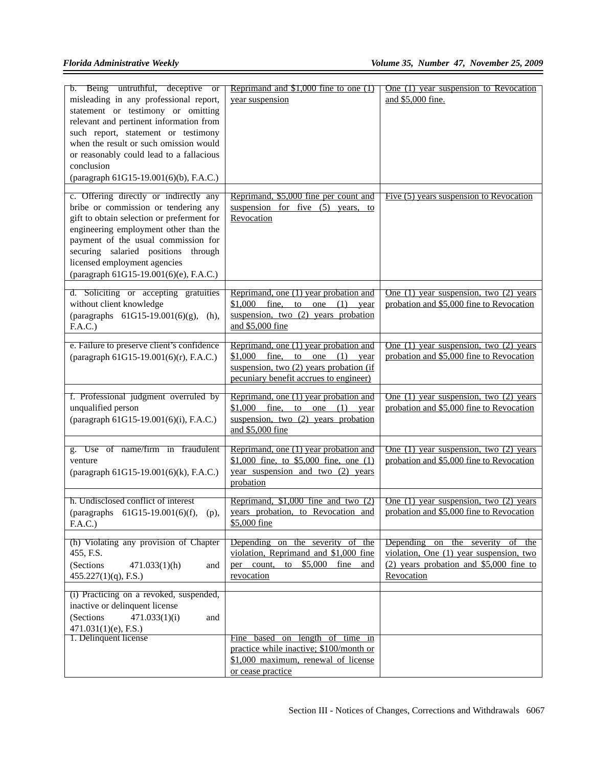| b. Being untruthful, deceptive or<br>misleading in any professional report,<br>statement or testimony or omitting<br>relevant and pertinent information from<br>such report, statement or testimony<br>when the result or such omission would<br>or reasonably could lead to a fallacious<br>conclusion<br>(paragraph 61G15-19.001(6)(b), F.A.C.) | Reprimand and $$1,000$ fine to one $(1)$<br>year suspension                                                                                                               | One (1) year suspension to Revocation<br>and \$5,000 fine.                                                                                      |
|---------------------------------------------------------------------------------------------------------------------------------------------------------------------------------------------------------------------------------------------------------------------------------------------------------------------------------------------------|---------------------------------------------------------------------------------------------------------------------------------------------------------------------------|-------------------------------------------------------------------------------------------------------------------------------------------------|
| c. Offering directly or indirectly any<br>bribe or commission or tendering any<br>gift to obtain selection or preferment for<br>engineering employment other than the<br>payment of the usual commission for<br>securing salaried positions through<br>licensed employment agencies<br>(paragraph 61G15-19.001(6)(e), F.A.C.)                     | Reprimand, \$5,000 fine per count and<br>suspension for five $(5)$ years, to<br>Revocation                                                                                | Five (5) years suspension to Revocation                                                                                                         |
| d. Soliciting or accepting gratuities<br>without client knowledge<br>(paragraphs $61G15-19.001(6)(g)$ ,<br>$(h)$ ,<br>F.A.C.)                                                                                                                                                                                                                     | Reprimand, one (1) year probation and<br>\$1,000<br>fine,<br>to<br>(1)<br>one<br>year<br>suspension, two (2) years probation<br>and \$5,000 fine                          | One $(1)$ year suspension, two $(2)$ years<br>probation and \$5,000 fine to Revocation                                                          |
| e. Failure to preserve client's confidence<br>(paragraph 61G15-19.001(6)(r), F.A.C.)                                                                                                                                                                                                                                                              | Reprimand, one (1) year probation and<br>\$1,000<br>fine,<br>to one<br>(1)<br>vear<br>suspension, two $(2)$ years probation (if<br>pecuniary benefit accrues to engineer) | One $(1)$ year suspension, two $(2)$ years<br>probation and \$5,000 fine to Revocation                                                          |
| f. Professional judgment overruled by<br>unqualified person<br>(paragraph 61G15-19.001(6)(i), F.A.C.)                                                                                                                                                                                                                                             | Reprimand, one (1) year probation and<br>\$1,000<br>fine,<br>(1)<br>to<br>one<br>year<br>suspension, two (2) years probation<br>and \$5,000 fine                          | One $(1)$ year suspension, two $(2)$ years<br>probation and \$5,000 fine to Revocation                                                          |
| g. Use of name/firm in fraudulent<br>venture<br>(paragraph 61G15-19.001(6)(k), F.A.C.)                                                                                                                                                                                                                                                            | Reprimand, one (1) year probation and<br>\$1,000 fine, to \$5,000 fine, one $(1)$<br>year suspension and two $(2)$ years<br>probation                                     | One $(1)$ year suspension, two $(2)$ years<br>probation and \$5,000 fine to Revocation                                                          |
| h. Undisclosed conflict of interest<br>(paragraphs 61G15-19.001(6)(f),<br>$(p)$ ,<br>F.A.C.)                                                                                                                                                                                                                                                      | Reprimand, $$1,000$ fine and two $(2)$<br>years probation, to Revocation and<br>\$5,000 fine                                                                              | One $(1)$ year suspension, two $(2)$ years<br>probation and \$5,000 fine to Revocation                                                          |
| (h) Violating any provision of Chapter<br>455, F.S.<br>(Sections<br>471.033(1)(h)<br>and<br>$455.227(1)(q)$ , F.S.)                                                                                                                                                                                                                               | Depending on the severity of the<br>violation, Reprimand and \$1,000 fine<br>per count, to $$5,000$<br>fine<br>and<br>revocation                                          | Depending<br>on<br>the severity<br>of the<br>violation, One (1) year suspension, two<br>$(2)$ years probation and \$5,000 fine to<br>Revocation |
| (i) Practicing on a revoked, suspended,<br>inactive or delinquent license<br>(Sections<br>471.033(1)(i)<br>and<br>$471.031(1)(e)$ , F.S.)<br>1. Delinquent license                                                                                                                                                                                | Fine based on length of time in                                                                                                                                           |                                                                                                                                                 |
|                                                                                                                                                                                                                                                                                                                                                   | practice while inactive; \$100/month or<br>\$1,000 maximum, renewal of license<br>or cease practice                                                                       |                                                                                                                                                 |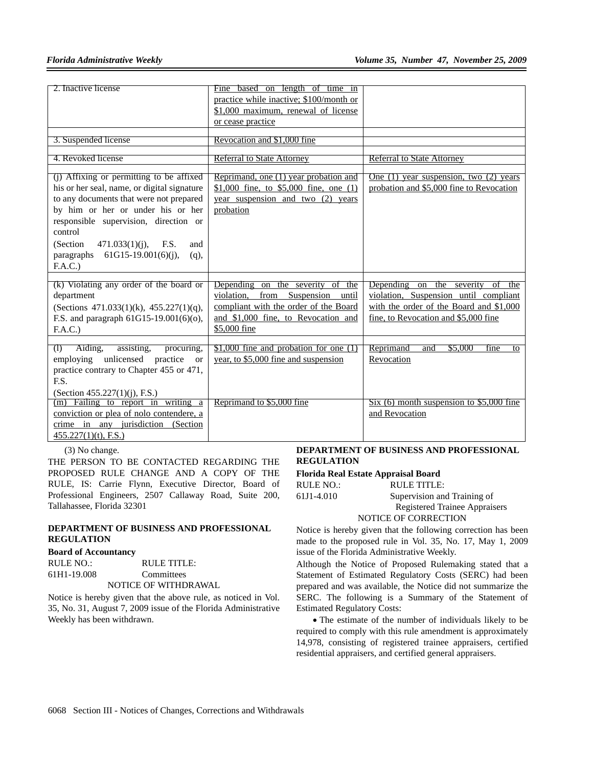| 2. Inactive license                                                                                                                                                                                                                                                                                                                        | Fine based on length of time in<br>practice while inactive; \$100/month or<br>\$1,000 maximum, renewal of license<br>or cease practice                                              |                                                                                                                                                                                       |
|--------------------------------------------------------------------------------------------------------------------------------------------------------------------------------------------------------------------------------------------------------------------------------------------------------------------------------------------|-------------------------------------------------------------------------------------------------------------------------------------------------------------------------------------|---------------------------------------------------------------------------------------------------------------------------------------------------------------------------------------|
| 3. Suspended license                                                                                                                                                                                                                                                                                                                       | Revocation and \$1,000 fine                                                                                                                                                         |                                                                                                                                                                                       |
| 4. Revoked license                                                                                                                                                                                                                                                                                                                         | <b>Referral to State Attorney</b>                                                                                                                                                   | <b>Referral to State Attorney</b>                                                                                                                                                     |
| (i) Affixing or permitting to be affixed<br>his or her seal, name, or digital signature<br>to any documents that were not prepared<br>by him or her or under his or her<br>responsible supervision, direction or<br>control<br>(Section)<br>$471.033(1)(i)$ ,<br>F.S.<br>and<br>$61G15-19.001(6)(i)$ ,<br>paragraphs<br>$(q)$ ,<br>F.A.C.) | Reprimand, one (1) year probation and<br>\$1,000 fine, to \$5,000 fine, one $(1)$<br>year suspension and two (2) years<br>probation                                                 | One $(1)$ year suspension, two $(2)$ years<br>probation and \$5,000 fine to Revocation                                                                                                |
| (k) Violating any order of the board or<br>department<br>(Sections $471.033(1)(k)$ , $455.227(1)(q)$ ,<br>F.S. and paragraph 61G15-19.001(6)(o),<br>F.A.C.)                                                                                                                                                                                | Depending on<br>the severity of<br>the<br>violation,<br>from<br>Suspension<br>until<br>compliant with the order of the Board<br>and \$1,000 fine, to Revocation and<br>\$5,000 fine | Depending<br>the severity<br>$\overline{on}$<br>of<br>the<br>violation, Suspension until compliant<br>with the order of the Board and \$1,000<br>fine, to Revocation and \$5,000 fine |
| Aiding,<br>(1)<br>assisting,<br>procuring,<br>employing unlicensed practice or<br>practice contrary to Chapter 455 or 471,<br>E.S.<br>(Section 455.227(1)(j), F.S.)                                                                                                                                                                        | $$1,000$ fine and probation for one (1)<br>year, to \$5,000 fine and suspension                                                                                                     | Reprimand<br>\$5,000<br>and<br>fine<br>to<br>Revocation                                                                                                                               |
| (m) Failing to report in writing a<br>conviction or plea of nolo contendere, a<br>crime in any jurisdiction (Section<br>$455.227(1)(t)$ , F.S.)                                                                                                                                                                                            | Reprimand to \$5,000 fine                                                                                                                                                           | $Six (6)$ month suspension to \$5,000 fine<br>and Revocation                                                                                                                          |

(3) No change.

THE PERSON TO BE CONTACTED REGARDING THE PROPOSED RULE CHANGE AND A COPY OF THE RULE, IS: Carrie Flynn, Executive Director, Board of Professional Engineers, 2507 Callaway Road, Suite 200, Tallahassee, Florida 32301

## **DEPARTMENT OF BUSINESS AND PROFESSIONAL REGULATION**

#### **Board of Accountancy**

| RULE NO.:   | RULE TITLE:          |
|-------------|----------------------|
| 61H1-19.008 | Committees           |
|             | NOTICE OF WITHDRAWAL |

Notice is hereby given that the above rule, as noticed in Vol. 35, No. 31, August 7, 2009 issue of the Florida Administrative Weekly has been withdrawn.

## **DEPARTMENT OF BUSINESS AND PROFESSIONAL REGULATION**

# **Florida Real Estate Appraisal Board**

| RULE NO.:  | RULE TITLE:                   |
|------------|-------------------------------|
| 61J1-4.010 | Supervision and Training of   |
|            | Registered Trainee Appraisers |
|            | NOTICE OF CORRECTION          |
|            |                               |

Notice is hereby given that the following correction has been made to the proposed rule in Vol. 35, No. 17, May 1, 2009 issue of the Florida Administrative Weekly.

Although the Notice of Proposed Rulemaking stated that a Statement of Estimated Regulatory Costs (SERC) had been prepared and was available, the Notice did not summarize the SERC. The following is a Summary of the Statement of Estimated Regulatory Costs:

• The estimate of the number of individuals likely to be required to comply with this rule amendment is approximately 14,978, consisting of registered trainee appraisers, certified residential appraisers, and certified general appraisers.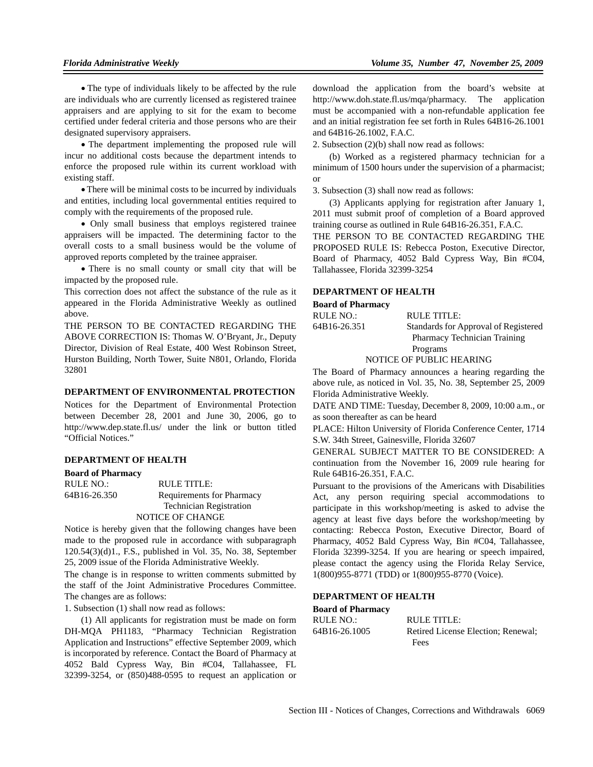• The type of individuals likely to be affected by the rule are individuals who are currently licensed as registered trainee appraisers and are applying to sit for the exam to become certified under federal criteria and those persons who are their designated supervisory appraisers.

• The department implementing the proposed rule will incur no additional costs because the department intends to enforce the proposed rule within its current workload with existing staff.

• There will be minimal costs to be incurred by individuals and entities, including local governmental entities required to comply with the requirements of the proposed rule.

• Only small business that employs registered trainee appraisers will be impacted. The determining factor to the overall costs to a small business would be the volume of approved reports completed by the trainee appraiser.

• There is no small county or small city that will be impacted by the proposed rule.

This correction does not affect the substance of the rule as it appeared in the Florida Administrative Weekly as outlined above.

THE PERSON TO BE CONTACTED REGARDING THE ABOVE CORRECTION IS: Thomas W. O'Bryant, Jr., Deputy Director, Division of Real Estate, 400 West Robinson Street, Hurston Building, North Tower, Suite N801, Orlando, Florida 32801

#### **DEPARTMENT OF ENVIRONMENTAL PROTECTION**

Notices for the Department of Environmental Protection between December 28, 2001 and June 30, 2006, go to http://www.dep.state.fl.us/ under the link or button titled "Official Notices."

## **DEPARTMENT OF HEALTH**

**Board of Pharmacy** RULE NO.: RULE TITLE: 64B16-26.350 Requirements for Pharmacy Technician Registration NOTICE OF CHANGE

Notice is hereby given that the following changes have been made to the proposed rule in accordance with subparagraph 120.54(3)(d)1., F.S., published in Vol. 35, No. 38, September 25, 2009 issue of the Florida Administrative Weekly.

The change is in response to written comments submitted by the staff of the Joint Administrative Procedures Committee. The changes are as follows:

1. Subsection (1) shall now read as follows:

(1) All applicants for registration must be made on form DH-MQA PH1183, "Pharmacy Technician Registration Application and Instructions" effective September 2009, which is incorporated by reference. Contact the Board of Pharmacy at 4052 Bald Cypress Way, Bin #C04, Tallahassee, FL 32399-3254, or (850)488-0595 to request an application or

download the application from the board's website at http://www.doh.state.fl.us/mqa/pharmacy. The application must be accompanied with a non-refundable application fee and an initial registration fee set forth in Rules 64B16-26.1001 and 64B16-26.1002, F.A.C.

2. Subsection (2)(b) shall now read as follows:

(b) Worked as a registered pharmacy technician for a minimum of 1500 hours under the supervision of a pharmacist; or

3. Subsection (3) shall now read as follows:

(3) Applicants applying for registration after January 1, 2011 must submit proof of completion of a Board approved training course as outlined in Rule 64B16-26.351, F.A.C.

THE PERSON TO BE CONTACTED REGARDING THE PROPOSED RULE IS: Rebecca Poston, Executive Director, Board of Pharmacy, 4052 Bald Cypress Way, Bin #C04, Tallahassee, Florida 32399-3254

#### **DEPARTMENT OF HEALTH**

#### **Board of Pharmacy**

| RULE NO.:    | RULE TITLE:                          |
|--------------|--------------------------------------|
| 64B16-26.351 | Standards for Approval of Registered |
|              | Pharmacy Technician Training         |
|              | Programs                             |
|              | NOTICE OF PUBLIC HEARING             |

The Board of Pharmacy announces a hearing regarding the above rule, as noticed in Vol. 35, No. 38, September 25, 2009 Florida Administrative Weekly.

DATE AND TIME: Tuesday, December 8, 2009, 10:00 a.m., or as soon thereafter as can be heard

PLACE: Hilton University of Florida Conference Center, 1714 S.W. 34th Street, Gainesville, Florida 32607

GENERAL SUBJECT MATTER TO BE CONSIDERED: A continuation from the November 16, 2009 rule hearing for Rule 64B16-26.351, F.A.C.

Pursuant to the provisions of the Americans with Disabilities Act, any person requiring special accommodations to participate in this workshop/meeting is asked to advise the agency at least five days before the workshop/meeting by contacting: Rebecca Poston, Executive Director, Board of Pharmacy, 4052 Bald Cypress Way, Bin #C04, Tallahassee, Florida 32399-3254. If you are hearing or speech impaired, please contact the agency using the Florida Relay Service, 1(800)955-8771 (TDD) or 1(800)955-8770 (Voice).

#### **DEPARTMENT OF HEALTH**

**Board of Pharmacy**

RULE NO.: RULE TITLE: 64B16-26.1005 Retired License Election; Renewal; Fees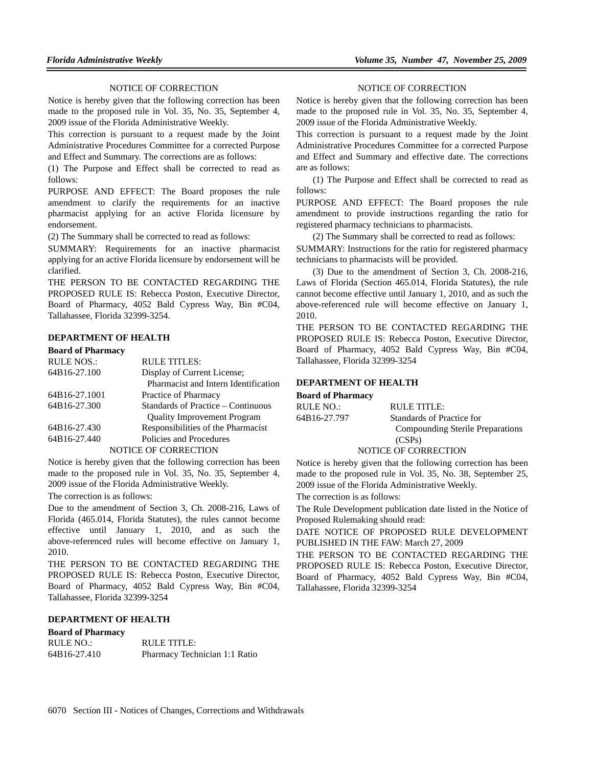### NOTICE OF CORRECTION

Notice is hereby given that the following correction has been made to the proposed rule in Vol. 35, No. 35, September 4, 2009 issue of the Florida Administrative Weekly.

This correction is pursuant to a request made by the Joint Administrative Procedures Committee for a corrected Purpose and Effect and Summary. The corrections are as follows:

(1) The Purpose and Effect shall be corrected to read as follows:

PURPOSE AND EFFECT: The Board proposes the rule amendment to clarify the requirements for an inactive pharmacist applying for an active Florida licensure by endorsement.

(2) The Summary shall be corrected to read as follows:

SUMMARY: Requirements for an inactive pharmacist applying for an active Florida licensure by endorsement will be clarified.

THE PERSON TO BE CONTACTED REGARDING THE PROPOSED RULE IS: Rebecca Poston, Executive Director, Board of Pharmacy, 4052 Bald Cypress Way, Bin #C04, Tallahassee, Florida 32399-3254.

## **DEPARTMENT OF HEALTH**

## **Board of Pharmacy**

| <b>RULE NOS.:</b> | <b>RULE TITLES:</b>                  |
|-------------------|--------------------------------------|
| 64B16-27.100      | Display of Current License;          |
|                   | Pharmacist and Intern Identification |
| 64B16-27.1001     | Practice of Pharmacy                 |
| 64B16-27.300      | Standards of Practice – Continuous   |
|                   | <b>Quality Improvement Program</b>   |
| 64B16-27.430      | Responsibilities of the Pharmacist   |
| 64B16-27.440      | Policies and Procedures              |
|                   | NOTICE OF CORRECTION                 |

Notice is hereby given that the following correction has been made to the proposed rule in Vol. 35, No. 35, September 4, 2009 issue of the Florida Administrative Weekly.

The correction is as follows:

Due to the amendment of Section 3, Ch. 2008-216, Laws of Florida (465.014, Florida Statutes), the rules cannot become effective until January 1, 2010, and as such the above-referenced rules will become effective on January 1, 2010.

THE PERSON TO BE CONTACTED REGARDING THE PROPOSED RULE IS: Rebecca Poston, Executive Director, Board of Pharmacy, 4052 Bald Cypress Way, Bin #C04, Tallahassee, Florida 32399-3254

## **DEPARTMENT OF HEALTH**

#### **Board of Pharmacy**

| RULE NO.:    | RULE TITLE:                   |
|--------------|-------------------------------|
| 64B16-27.410 | Pharmacy Technician 1:1 Ratio |

NOTICE OF CORRECTION

Notice is hereby given that the following correction has been made to the proposed rule in Vol. 35, No. 35, September 4, 2009 issue of the Florida Administrative Weekly.

This correction is pursuant to a request made by the Joint Administrative Procedures Committee for a corrected Purpose and Effect and Summary and effective date. The corrections are as follows:

(1) The Purpose and Effect shall be corrected to read as follows:

PURPOSE AND EFFECT: The Board proposes the rule amendment to provide instructions regarding the ratio for registered pharmacy technicians to pharmacists.

(2) The Summary shall be corrected to read as follows: SUMMARY: Instructions for the ratio for registered pharmacy technicians to pharmacists will be provided.

(3) Due to the amendment of Section 3, Ch. 2008-216, Laws of Florida (Section 465.014, Florida Statutes), the rule cannot become effective until January 1, 2010, and as such the above-referenced rule will become effective on January 1, 2010.

THE PERSON TO BE CONTACTED REGARDING THE PROPOSED RULE IS: Rebecca Poston, Executive Director, Board of Pharmacy, 4052 Bald Cypress Way, Bin #C04, Tallahassee, Florida 32399-3254

## **DEPARTMENT OF HEALTH**

| <b>Board of Pharmacy</b> |                                  |
|--------------------------|----------------------------------|
| RULE NO.:                | RULE TITLE:                      |
| 64B16-27.797             | Standards of Practice for        |
|                          | Compounding Sterile Preparations |
|                          | (CSPs)                           |

## NOTICE OF CORRECTION

Notice is hereby given that the following correction has been made to the proposed rule in Vol. 35, No. 38, September 25, 2009 issue of the Florida Administrative Weekly.

The correction is as follows:

The Rule Development publication date listed in the Notice of Proposed Rulemaking should read:

DATE NOTICE OF PROPOSED RULE DEVELOPMENT PUBLISHED IN THE FAW: March 27, 2009

THE PERSON TO BE CONTACTED REGARDING THE PROPOSED RULE IS: Rebecca Poston, Executive Director, Board of Pharmacy, 4052 Bald Cypress Way, Bin #C04, Tallahassee, Florida 32399-3254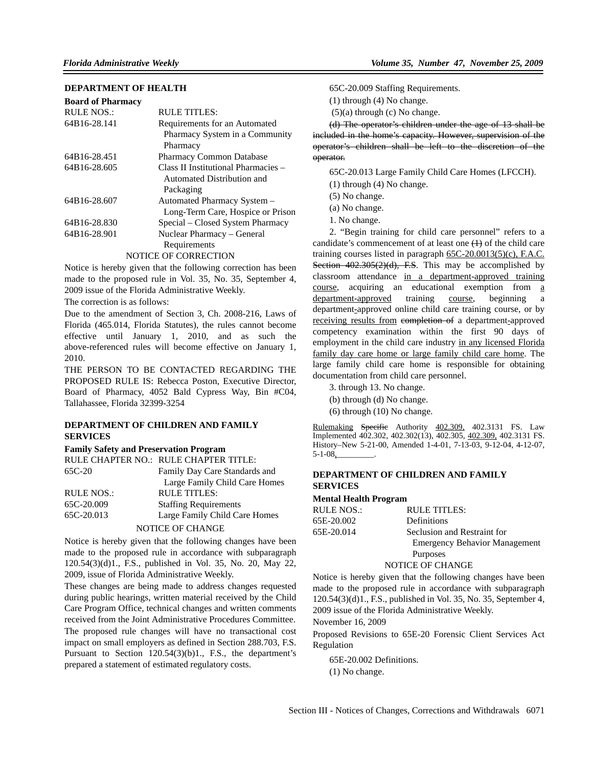## **DEPARTMENT OF HEALTH**

| <b>Board of Pharmacy</b> |                                     |
|--------------------------|-------------------------------------|
| RULE NOS.:               | RULE TITLES:                        |
| 64B16-28.141             | Requirements for an Automated       |
|                          | Pharmacy System in a Community      |
|                          | Pharmacy                            |
| 64B16-28.451             | <b>Pharmacy Common Database</b>     |
| 64B16-28.605             | Class II Institutional Pharmacies - |
|                          | Automated Distribution and          |
|                          | Packaging                           |
| 64B16-28.607             | Automated Pharmacy System -         |
|                          | Long-Term Care, Hospice or Prison   |
| 64B16-28.830             | Special – Closed System Pharmacy    |
| 64B16-28.901             | Nuclear Pharmacy - General          |
|                          | Requirements                        |
|                          | NOTICE OF CORRECTION                |

Notice is hereby given that the following correction has been made to the proposed rule in Vol. 35, No. 35, September 4, 2009 issue of the Florida Administrative Weekly.

The correction is as follows:

Due to the amendment of Section 3, Ch. 2008-216, Laws of Florida (465.014, Florida Statutes), the rules cannot become effective until January 1, 2010, and as such the above-referenced rules will become effective on January 1, 2010.

THE PERSON TO BE CONTACTED REGARDING THE PROPOSED RULE IS: Rebecca Poston, Executive Director, Board of Pharmacy, 4052 Bald Cypress Way, Bin #C04, Tallahassee, Florida 32399-3254

## **DEPARTMENT OF CHILDREN AND FAMILY SERVICES**

## **Family Safety and Preservation Program**

|                   | RULE CHAPTER NO.: RULE CHAPTER TITLE: |
|-------------------|---------------------------------------|
| 65C-20            | Family Day Care Standards and         |
|                   | Large Family Child Care Homes         |
| <b>RULE NOS.:</b> | <b>RULE TITLES:</b>                   |
| 65C-20.009        | <b>Staffing Requirements</b>          |
| 65C-20.013        | Large Family Child Care Homes         |
|                   | <b>NOTICE OF CHANGE</b>               |

Notice is hereby given that the following changes have been made to the proposed rule in accordance with subparagraph 120.54(3)(d)1., F.S., published in Vol. 35, No. 20, May 22, 2009, issue of Florida Administrative Weekly.

These changes are being made to address changes requested during public hearings, written material received by the Child Care Program Office, technical changes and written comments received from the Joint Administrative Procedures Committee. The proposed rule changes will have no transactional cost impact on small employers as defined in Section 288.703, F.S. Pursuant to Section 120.54(3)(b)1., F.S., the department's prepared a statement of estimated regulatory costs.

65C-20.009 Staffing Requirements.

(1) through (4) No change.

(5)(a) through (c) No change.

(d) The operator's children under the age of 13 shall be included in the home's capacity. However, supervision of the operator's children shall be left to the discretion of the operator.

65C-20.013 Large Family Child Care Homes (LFCCH).

(1) through (4) No change.

(5) No change.

(a) No change.

1. No change.

2. "Begin training for child care personnel" refers to a candidate's commencement of at least one  $(1)$  of the child care training courses listed in paragraph 65C-20.0013(5)(c), F.A.C. Section 402.305(2)(d), F.S. This may be accomplished by classroom attendance in a department-approved training course, acquiring an educational exemption from a department-approved training course, beginning a department-approved online child care training course, or by receiving results from completion of a department-approved competency examination within the first 90 days of employment in the child care industry in any licensed Florida family day care home or large family child care home. The large family child care home is responsible for obtaining documentation from child care personnel.

3. through 13. No change.

(b) through (d) No change.

(6) through (10) No change.

Rulemaking Specific Authority 402.309, 402.3131 FS. Law Implemented 402.302, 402.302(13), 402.305, 402.309, 402.3131 FS. History–New 5-21-00, Amended 1-4-01, 7-13-03, 9-12-04, 4-12-07,  $5-1-08$ ,

## **DEPARTMENT OF CHILDREN AND FAMILY SERVICES**

## **Mental Health Program**

| RULE NOS.: | RULE TITLES:                         |
|------------|--------------------------------------|
| 65E-20.002 | Definitions                          |
| 65E-20.014 | Seclusion and Restraint for          |
|            | <b>Emergency Behavior Management</b> |
|            | Purposes                             |
|            | NOTICE OF CHANGE                     |

Notice is hereby given that the following changes have been

made to the proposed rule in accordance with subparagraph 120.54(3)(d)1., F.S., published in Vol. 35, No. 35, September 4, 2009 issue of the Florida Administrative Weekly.

November 16, 2009

Proposed Revisions to 65E-20 Forensic Client Services Act Regulation

65E-20.002 Definitions.

(1) No change.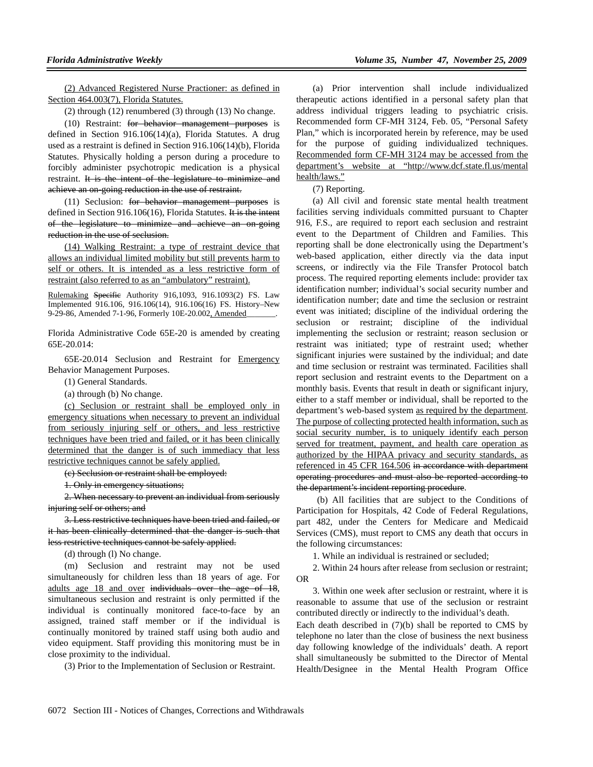(2) Advanced Registered Nurse Practioner: as defined in Section 464.003(7), Florida Statutes.

(2) through (12) renumbered (3) through (13) No change.

(10) Restraint: for behavior management purposes is defined in Section 916.106(14)(a), Florida Statutes. A drug used as a restraint is defined in Section 916.106(14)(b), Florida Statutes. Physically holding a person during a procedure to forcibly administer psychotropic medication is a physical restraint. It is the intent of the legislature to minimize and achieve an on-going reduction in the use of restraint.

(11) Seclusion: for behavior management purposes is defined in Section 916.106(16), Florida Statutes. It is the intent of the legislature to minimize and achieve an on-going reduction in the use of seclusion.

(14) Walking Restraint: a type of restraint device that allows an individual limited mobility but still prevents harm to self or others. It is intended as a less restrictive form of restraint (also referred to as an "ambulatory" restraint).

Rulemaking Specific Authority 916,1093, 916.1093(2) FS. Law Implemented 916.106, 916.106(14), 916.106(16) FS. History–New 9-29-86, Amended 7-1-96, Formerly 10E-20.002, Amended

Florida Administrative Code 65E-20 is amended by creating 65E-20.014:

65E-20.014 Seclusion and Restraint for Emergency Behavior Management Purposes.

(1) General Standards.

(a) through (b) No change.

(c) Seclusion or restraint shall be employed only in emergency situations when necessary to prevent an individual from seriously injuring self or others, and less restrictive techniques have been tried and failed, or it has been clinically determined that the danger is of such immediacy that less restrictive techniques cannot be safely applied.

(c) Seclusion or restraint shall be employed:

1. Only in emergency situations;

2. When necessary to prevent an individual from seriously injuring self or others; and

3. Less restrictive techniques have been tried and failed, or it has been clinically determined that the danger is such that less restrictive techniques cannot be safely applied.

(d) through (l) No change.

(m) Seclusion and restraint may not be used simultaneously for children less than 18 years of age. For adults age 18 and over individuals over the age of 18, simultaneous seclusion and restraint is only permitted if the individual is continually monitored face-to-face by an assigned, trained staff member or if the individual is continually monitored by trained staff using both audio and video equipment. Staff providing this monitoring must be in close proximity to the individual.

(3) Prior to the Implementation of Seclusion or Restraint.

(a) Prior intervention shall include individualized therapeutic actions identified in a personal safety plan that address individual triggers leading to psychiatric crisis. Recommended form CF-MH 3124, Feb. 05, "Personal Safety Plan," which is incorporated herein by reference, may be used for the purpose of guiding individualized techniques. Recommended form CF-MH 3124 may be accessed from the department's website at "http://www.dcf.state.fl.us/mental health/laws."

(7) Reporting.

(a) All civil and forensic state mental health treatment facilities serving individuals committed pursuant to Chapter 916, F.S., are required to report each seclusion and restraint event to the Department of Children and Families. This reporting shall be done electronically using the Department's web-based application, either directly via the data input screens, or indirectly via the File Transfer Protocol batch process. The required reporting elements include: provider tax identification number; individual's social security number and identification number; date and time the seclusion or restraint event was initiated; discipline of the individual ordering the seclusion or restraint; discipline of the individual implementing the seclusion or restraint; reason seclusion or restraint was initiated; type of restraint used; whether significant injuries were sustained by the individual; and date and time seclusion or restraint was terminated. Facilities shall report seclusion and restraint events to the Department on a monthly basis. Events that result in death or significant injury, either to a staff member or individual, shall be reported to the department's web-based system as required by the department. The purpose of collecting protected health information, such as social security number, is to uniquely identify each person served for treatment, payment, and health care operation as authorized by the HIPAA privacy and security standards, as referenced in 45 CFR 164.506 in accordance with department operating procedures and must also be reported according to the department's incident reporting procedure.

 (b) All facilities that are subject to the Conditions of Participation for Hospitals, 42 Code of Federal Regulations, part 482, under the Centers for Medicare and Medicaid Services (CMS), must report to CMS any death that occurs in the following circumstances:

1. While an individual is restrained or secluded;

2. Within 24 hours after release from seclusion or restraint; OR

3. Within one week after seclusion or restraint, where it is reasonable to assume that use of the seclusion or restraint contributed directly or indirectly to the individual's death.

Each death described in (7)(b) shall be reported to CMS by telephone no later than the close of business the next business day following knowledge of the individuals' death. A report shall simultaneously be submitted to the Director of Mental Health/Designee in the Mental Health Program Office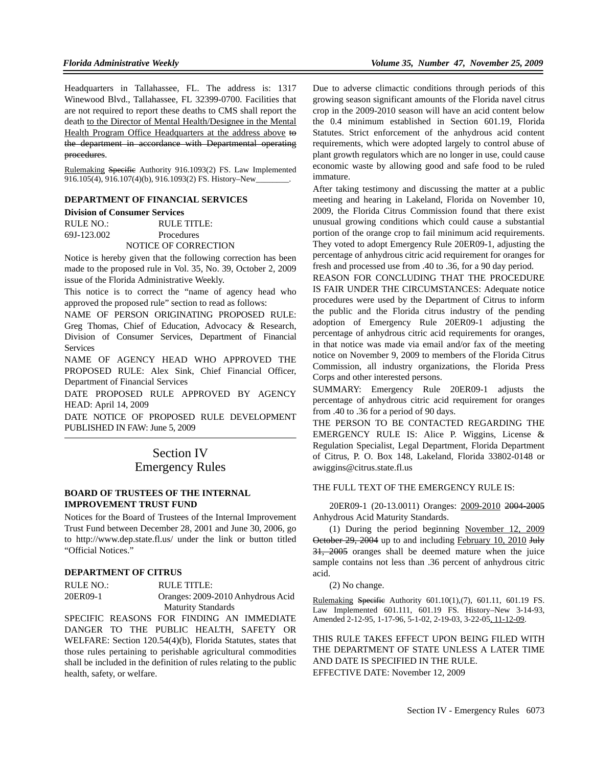Headquarters in Tallahassee, FL. The address is: 1317 Winewood Blvd., Tallahassee, FL 32399-0700. Facilities that are not required to report these deaths to CMS shall report the death to the Director of Mental Health/Designee in the Mental Health Program Office Headquarters at the address above to the department in accordance with Departmental operating procedures.

Rulemaking Specific Authority 916.1093(2) FS. Law Implemented 916.105(4), 916.107(4)(b), 916.1093(2) FS. History–New

## **DEPARTMENT OF FINANCIAL SERVICES**

#### **Division of Consumer Services**

RULE NO.: RULE TITLE: 69J-123.002 Procedures NOTICE OF CORRECTION

Notice is hereby given that the following correction has been made to the proposed rule in Vol. 35, No. 39, October 2, 2009 issue of the Florida Administrative Weekly.

This notice is to correct the "name of agency head who approved the proposed rule" section to read as follows:

NAME OF PERSON ORIGINATING PROPOSED RULE: Greg Thomas, Chief of Education, Advocacy & Research, Division of Consumer Services, Department of Financial **Services** 

NAME OF AGENCY HEAD WHO APPROVED THE PROPOSED RULE: Alex Sink, Chief Financial Officer, Department of Financial Services

DATE PROPOSED RULE APPROVED BY AGENCY HEAD: April 14, 2009

DATE NOTICE OF PROPOSED RULE DEVELOPMENT PUBLISHED IN FAW: June 5, 2009

# Section IV Emergency Rules

## **BOARD OF TRUSTEES OF THE INTERNAL IMPROVEMENT TRUST FUND**

Notices for the Board of Trustees of the Internal Improvement Trust Fund between December 28, 2001 and June 30, 2006, go to http://www.dep.state.fl.us/ under the link or button titled "Official Notices."

#### **DEPARTMENT OF CITRUS**

RULE NO.: RULE TITLE: 20ER09-1 Oranges: 2009-2010 Anhydrous Acid Maturity Standards

SPECIFIC REASONS FOR FINDING AN IMMEDIATE DANGER TO THE PUBLIC HEALTH, SAFETY OR WELFARE: Section 120.54(4)(b), Florida Statutes, states that those rules pertaining to perishable agricultural commodities shall be included in the definition of rules relating to the public health, safety, or welfare.

Due to adverse climactic conditions through periods of this growing season significant amounts of the Florida navel citrus crop in the 2009-2010 season will have an acid content below the 0.4 minimum established in Section 601.19, Florida Statutes. Strict enforcement of the anhydrous acid content requirements, which were adopted largely to control abuse of plant growth regulators which are no longer in use, could cause economic waste by allowing good and safe food to be ruled immature.

After taking testimony and discussing the matter at a public meeting and hearing in Lakeland, Florida on November 10, 2009, the Florida Citrus Commission found that there exist unusual growing conditions which could cause a substantial portion of the orange crop to fail minimum acid requirements. They voted to adopt Emergency Rule 20ER09-1, adjusting the percentage of anhydrous citric acid requirement for oranges for fresh and processed use from .40 to .36, for a 90 day period.

REASON FOR CONCLUDING THAT THE PROCEDURE IS FAIR UNDER THE CIRCUMSTANCES: Adequate notice procedures were used by the Department of Citrus to inform the public and the Florida citrus industry of the pending adoption of Emergency Rule 20ER09-1 adjusting the percentage of anhydrous citric acid requirements for oranges, in that notice was made via email and/or fax of the meeting notice on November 9, 2009 to members of the Florida Citrus Commission, all industry organizations, the Florida Press Corps and other interested persons.

SUMMARY: Emergency Rule 20ER09-1 adjusts the percentage of anhydrous citric acid requirement for oranges from .40 to .36 for a period of 90 days.

THE PERSON TO BE CONTACTED REGARDING THE EMERGENCY RULE IS: Alice P. Wiggins, License & Regulation Specialist, Legal Department, Florida Department of Citrus, P. O. Box 148, Lakeland, Florida 33802-0148 or awiggins@citrus.state.fl.us

THE FULL TEXT OF THE EMERGENCY RULE IS:

20ER09-1 (20-13.0011) Oranges: 2009-2010 2004-2005 Anhydrous Acid Maturity Standards.

(1) During the period beginning November 12, 2009 October 29, 2004 up to and including February 10, 2010 July 31, 2005 oranges shall be deemed mature when the juice sample contains not less than .36 percent of anhydrous citric acid.

(2) No change.

Rulemaking Specific Authority 601.10(1), (7), 601.11, 601.19 FS. Law Implemented 601.111, 601.19 FS. History–New 3-14-93, Amended 2-12-95, 1-17-96, 5-1-02, 2-19-03, 3-22-05, 11-12-09.

THIS RULE TAKES EFFECT UPON BEING FILED WITH THE DEPARTMENT OF STATE UNLESS A LATER TIME AND DATE IS SPECIFIED IN THE RULE. EFFECTIVE DATE: November 12, 2009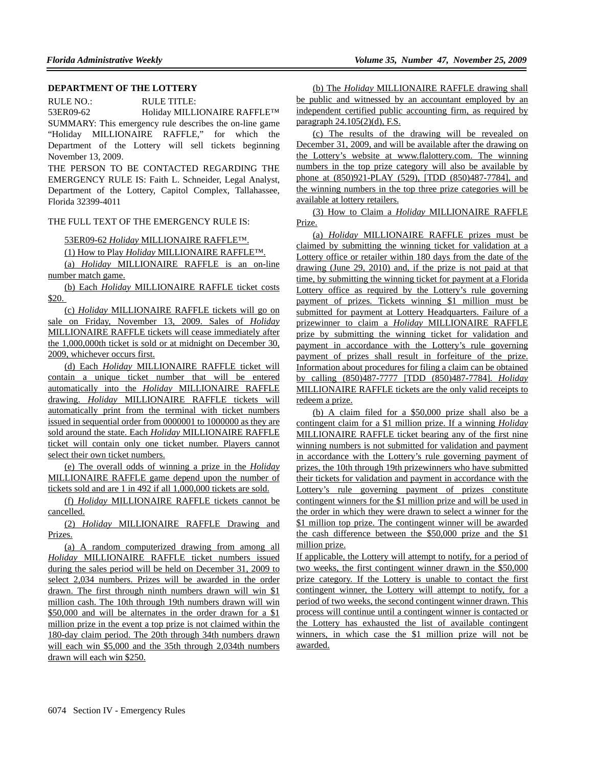## **DEPARTMENT OF THE LOTTERY**

RULE NO.: RULE TITLE: 53ER09-62 Holiday MILLIONAIRE RAFFLE™ SUMMARY: This emergency rule describes the on-line game "Holiday MILLIONAIRE RAFFLE," for which the Department of the Lottery will sell tickets beginning November 13, 2009.

THE PERSON TO BE CONTACTED REGARDING THE EMERGENCY RULE IS: Faith L. Schneider, Legal Analyst, Department of the Lottery, Capitol Complex, Tallahassee, Florida 32399-4011

## THE FULL TEXT OF THE EMERGENCY RULE IS:

## 53ER09-62 *Holiday* MILLIONAIRE RAFFLE™.

(1) How to Play *Holiday* MILLIONAIRE RAFFLE™.

(a) *Holiday* MILLIONAIRE RAFFLE is an on-line number match game.

(b) Each *Holiday* MILLIONAIRE RAFFLE ticket costs \$20.

(c) *Holiday* MILLIONAIRE RAFFLE tickets will go on sale on Friday, November 13, 2009. Sales of *Holiday* MILLIONAIRE RAFFLE tickets will cease immediately after the 1,000,000th ticket is sold or at midnight on December 30, 2009, whichever occurs first.

(d) Each *Holiday* MILLIONAIRE RAFFLE ticket will contain a unique ticket number that will be entered automatically into the *Holiday* MILLIONAIRE RAFFLE drawing. *Holiday* MILLIONAIRE RAFFLE tickets will automatically print from the terminal with ticket numbers issued in sequential order from 0000001 to 1000000 as they are sold around the state. Each *Holiday* MILLIONAIRE RAFFLE ticket will contain only one ticket number. Players cannot select their own ticket numbers.

(e) The overall odds of winning a prize in the *Holiday* MILLIONAIRE RAFFLE game depend upon the number of tickets sold and are 1 in 492 if all 1,000,000 tickets are sold.

(f) *Holiday* MILLIONAIRE RAFFLE tickets cannot be cancelled.

(2) *Holiday* MILLIONAIRE RAFFLE Drawing and Prizes.

(a) A random computerized drawing from among all *Holiday* MILLIONAIRE RAFFLE ticket numbers issued during the sales period will be held on December 31, 2009 to select 2,034 numbers. Prizes will be awarded in the order drawn. The first through ninth numbers drawn will win \$1 million cash. The 10th through 19th numbers drawn will win \$50,000 and will be alternates in the order drawn for a \$1 million prize in the event a top prize is not claimed within the 180-day claim period. The 20th through 34th numbers drawn will each win \$5,000 and the 35th through 2,034th numbers drawn will each win \$250.

(b) The *Holiday* MILLIONAIRE RAFFLE drawing shall be public and witnessed by an accountant employed by an independent certified public accounting firm, as required by paragraph 24.105(2)(d), F.S.

(c) The results of the drawing will be revealed on December 31, 2009, and will be available after the drawing on the Lottery's website at www.flalottery.com. The winning numbers in the top prize category will also be available by phone at (850)921-PLAY (529), [TDD (850)487-7784], and the winning numbers in the top three prize categories will be available at lottery retailers.

(3) How to Claim a *Holiday* MILLIONAIRE RAFFLE Prize.

(a) *Holiday* MILLIONAIRE RAFFLE prizes must be claimed by submitting the winning ticket for validation at a Lottery office or retailer within 180 days from the date of the drawing (June 29, 2010) and, if the prize is not paid at that time, by submitting the winning ticket for payment at a Florida Lottery office as required by the Lottery's rule governing payment of prizes. Tickets winning \$1 million must be submitted for payment at Lottery Headquarters. Failure of a prizewinner to claim a *Holiday* MILLIONAIRE RAFFLE prize by submitting the winning ticket for validation and payment in accordance with the Lottery's rule governing payment of prizes shall result in forfeiture of the prize. Information about procedures for filing a claim can be obtained by calling (850)487-7777 [TDD (850)487-7784]. *Holiday* MILLIONAIRE RAFFLE tickets are the only valid receipts to redeem a prize.

(b) A claim filed for a \$50,000 prize shall also be a contingent claim for a \$1 million prize. If a winning *Holiday* MILLIONAIRE RAFFLE ticket bearing any of the first nine winning numbers is not submitted for validation and payment in accordance with the Lottery's rule governing payment of prizes, the 10th through 19th prizewinners who have submitted their tickets for validation and payment in accordance with the Lottery's rule governing payment of prizes constitute contingent winners for the \$1 million prize and will be used in the order in which they were drawn to select a winner for the \$1 million top prize. The contingent winner will be awarded the cash difference between the \$50,000 prize and the \$1 million prize.

If applicable, the Lottery will attempt to notify, for a period of two weeks, the first contingent winner drawn in the \$50,000 prize category. If the Lottery is unable to contact the first contingent winner, the Lottery will attempt to notify, for a period of two weeks, the second contingent winner drawn. This process will continue until a contingent winner is contacted or the Lottery has exhausted the list of available contingent winners, in which case the \$1 million prize will not be awarded.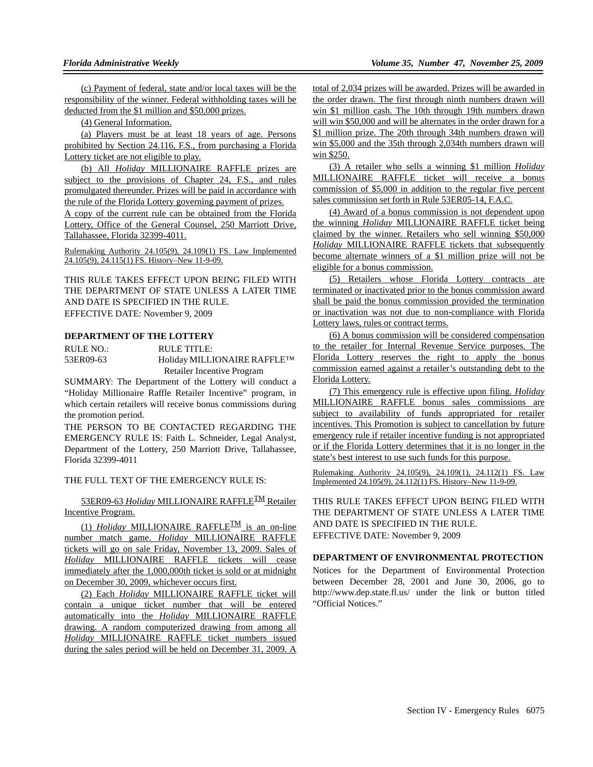(c) Payment of federal, state and/or local taxes will be the responsibility of the winner. Federal withholding taxes will be deducted from the \$1 million and \$50,000 prizes.

(4) General Information.

(a) Players must be at least 18 years of age. Persons prohibited by Section 24.116, F.S., from purchasing a Florida Lottery ticket are not eligible to play.

(b) All *Holiday* MILLIONAIRE RAFFLE prizes are subject to the provisions of Chapter 24, F.S., and rules promulgated thereunder. Prizes will be paid in accordance with the rule of the Florida Lottery governing payment of prizes.

A copy of the current rule can be obtained from the Florida Lottery, Office of the General Counsel, 250 Marriott Drive, Tallahassee, Florida 32399-4011.

Rulemaking Authority 24.105(9), 24.109(1) FS. Law Implemented 24.105(9), 24.115(1) FS. History–New 11-9-09.

THIS RULE TAKES EFFECT UPON BEING FILED WITH THE DEPARTMENT OF STATE UNLESS A LATER TIME AND DATE IS SPECIFIED IN THE RULE. EFFECTIVE DATE: November 9, 2009

## **DEPARTMENT OF THE LOTTERY**

RULE NO.: RULE TITLE: 53ER09-63 Holiday MILLIONAIRE RAFFLE™ Retailer Incentive Program

SUMMARY: The Department of the Lottery will conduct a "Holiday Millionaire Raffle Retailer Incentive" program, in which certain retailers will receive bonus commissions during the promotion period.

THE PERSON TO BE CONTACTED REGARDING THE EMERGENCY RULE IS: Faith L. Schneider, Legal Analyst, Department of the Lottery, 250 Marriott Drive, Tallahassee, Florida 32399-4011

THE FULL TEXT OF THE EMERGENCY RULE IS:

53ER09-63 *Holiday* MILLIONAIRE RAFFLETM Retailer Incentive Program.

(1) *Holiday* MILLIONAIRE RAFFLE<sup>IM</sup> is an on-line number match game. *Holiday* MILLIONAIRE RAFFLE tickets will go on sale Friday, November 13, 2009. Sales of *Holiday* MILLIONAIRE RAFFLE tickets will cease immediately after the 1,000,000th ticket is sold or at midnight on December 30, 2009, whichever occurs first.

(2) Each *Holiday* MILLIONAIRE RAFFLE ticket will contain a unique ticket number that will be entered automatically into the *Holiday* MILLIONAIRE RAFFLE drawing. A random computerized drawing from among all *Holiday* MILLIONAIRE RAFFLE ticket numbers issued during the sales period will be held on December 31, 2009. A total of 2,034 prizes will be awarded. Prizes will be awarded in the order drawn. The first through ninth numbers drawn will win \$1 million cash. The 10th through 19th numbers drawn will win \$50,000 and will be alternates in the order drawn for a \$1 million prize. The 20th through 34th numbers drawn will win \$5,000 and the 35th through 2,034th numbers drawn will win \$250.

(3) A retailer who sells a winning \$1 million *Holiday* MILLIONAIRE RAFFLE ticket will receive a bonus commission of \$5,000 in addition to the regular five percent sales commission set forth in Rule 53ER05-14, F.A.C.

(4) Award of a bonus commission is not dependent upon the winning *Holiday* MILLIONAIRE RAFFLE ticket being claimed by the winner. Retailers who sell winning \$50,000 *Holiday* MILLIONAIRE RAFFLE tickets that subsequently become alternate winners of a \$1 million prize will not be eligible for a bonus commission.

(5) Retailers whose Florida Lottery contracts are terminated or inactivated prior to the bonus commission award shall be paid the bonus commission provided the termination or inactivation was not due to non-compliance with Florida Lottery laws, rules or contract terms.

(6) A bonus commission will be considered compensation to the retailer for Internal Revenue Service purposes. The Florida Lottery reserves the right to apply the bonus commission earned against a retailer's outstanding debt to the Florida Lottery.

(7) This emergency rule is effective upon filing. *Holiday* MILLIONAIRE RAFFLE bonus sales commissions are subject to availability of funds appropriated for retailer incentives. This Promotion is subject to cancellation by future emergency rule if retailer incentive funding is not appropriated or if the Florida Lottery determines that it is no longer in the state's best interest to use such funds for this purpose.

Rulemaking Authority 24.105(9), 24.109(1), 24.112(1) FS. Law Implemented 24.105(9), 24.112(1) FS. History–New 11-9-09.

THIS RULE TAKES EFFECT UPON BEING FILED WITH THE DEPARTMENT OF STATE UNLESS A LATER TIME AND DATE IS SPECIFIED IN THE RULE. EFFECTIVE DATE: November 9, 2009

### **DEPARTMENT OF ENVIRONMENTAL PROTECTION**

Notices for the Department of Environmental Protection between December 28, 2001 and June 30, 2006, go to http://www.dep.state.fl.us/ under the link or button titled "Official Notices."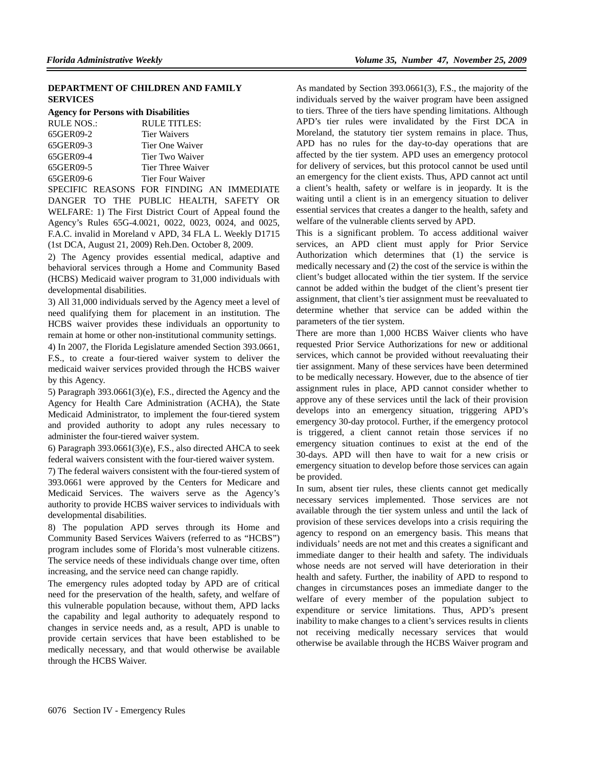## **DEPARTMENT OF CHILDREN AND FAMILY SERVICES**

#### **Agency for Persons with Disabilities**

| <b>RULE NOS.:</b> | RULE TITLES:        |
|-------------------|---------------------|
| 65GER09-2         | <b>Tier Waivers</b> |
| 65GER09-3         | Tier One Waiver     |
| 65GER09-4         | Tier Two Waiver     |
| 65GER09-5         | Tier Three Waiver   |
| 65GER09-6         | Tier Four Waiver    |
|                   |                     |

SPECIFIC REASONS FOR FINDING AN IMMEDIATE DANGER TO THE PUBLIC HEALTH, SAFETY OR WELFARE: 1) The First District Court of Appeal found the Agency's Rules 65G-4.0021, 0022, 0023, 0024, and 0025, F.A.C. invalid in Moreland v APD, 34 FLA L. Weekly D1715 (1st DCA, August 21, 2009) Reh.Den. October 8, 2009.

2) The Agency provides essential medical, adaptive and behavioral services through a Home and Community Based (HCBS) Medicaid waiver program to 31,000 individuals with developmental disabilities.

3) All 31,000 individuals served by the Agency meet a level of need qualifying them for placement in an institution. The HCBS waiver provides these individuals an opportunity to remain at home or other non-institutional community settings.

4) In 2007, the Florida Legislature amended Section 393.0661, F.S., to create a four-tiered waiver system to deliver the medicaid waiver services provided through the HCBS waiver by this Agency.

5) Paragraph 393.0661(3)(e), F.S., directed the Agency and the Agency for Health Care Administration (ACHA), the State Medicaid Administrator, to implement the four-tiered system and provided authority to adopt any rules necessary to administer the four-tiered waiver system.

6) Paragraph 393.0661(3)(e), F.S., also directed AHCA to seek federal waivers consistent with the four-tiered waiver system.

7) The federal waivers consistent with the four-tiered system of 393.0661 were approved by the Centers for Medicare and Medicaid Services. The waivers serve as the Agency's authority to provide HCBS waiver services to individuals with developmental disabilities.

8) The population APD serves through its Home and Community Based Services Waivers (referred to as "HCBS") program includes some of Florida's most vulnerable citizens. The service needs of these individuals change over time, often increasing, and the service need can change rapidly.

The emergency rules adopted today by APD are of critical need for the preservation of the health, safety, and welfare of this vulnerable population because, without them, APD lacks the capability and legal authority to adequately respond to changes in service needs and, as a result, APD is unable to provide certain services that have been established to be medically necessary, and that would otherwise be available through the HCBS Waiver.

As mandated by Section 393.0661(3), F.S., the majority of the individuals served by the waiver program have been assigned to tiers. Three of the tiers have spending limitations. Although APD's tier rules were invalidated by the First DCA in Moreland, the statutory tier system remains in place. Thus, APD has no rules for the day-to-day operations that are affected by the tier system. APD uses an emergency protocol for delivery of services, but this protocol cannot be used until an emergency for the client exists. Thus, APD cannot act until a client's health, safety or welfare is in jeopardy. It is the waiting until a client is in an emergency situation to deliver essential services that creates a danger to the health, safety and welfare of the vulnerable clients served by APD.

This is a significant problem. To access additional waiver services, an APD client must apply for Prior Service Authorization which determines that (1) the service is medically necessary and (2) the cost of the service is within the client's budget allocated within the tier system. If the service cannot be added within the budget of the client's present tier assignment, that client's tier assignment must be reevaluated to determine whether that service can be added within the parameters of the tier system.

There are more than 1,000 HCBS Waiver clients who have requested Prior Service Authorizations for new or additional services, which cannot be provided without reevaluating their tier assignment. Many of these services have been determined to be medically necessary. However, due to the absence of tier assignment rules in place, APD cannot consider whether to approve any of these services until the lack of their provision develops into an emergency situation, triggering APD's emergency 30-day protocol. Further, if the emergency protocol is triggered, a client cannot retain those services if no emergency situation continues to exist at the end of the 30-days. APD will then have to wait for a new crisis or emergency situation to develop before those services can again be provided.

In sum, absent tier rules, these clients cannot get medically necessary services implemented. Those services are not available through the tier system unless and until the lack of provision of these services develops into a crisis requiring the agency to respond on an emergency basis. This means that individuals' needs are not met and this creates a significant and immediate danger to their health and safety. The individuals whose needs are not served will have deterioration in their health and safety. Further, the inability of APD to respond to changes in circumstances poses an immediate danger to the welfare of every member of the population subject to expenditure or service limitations. Thus, APD's present inability to make changes to a client's services results in clients not receiving medically necessary services that would otherwise be available through the HCBS Waiver program and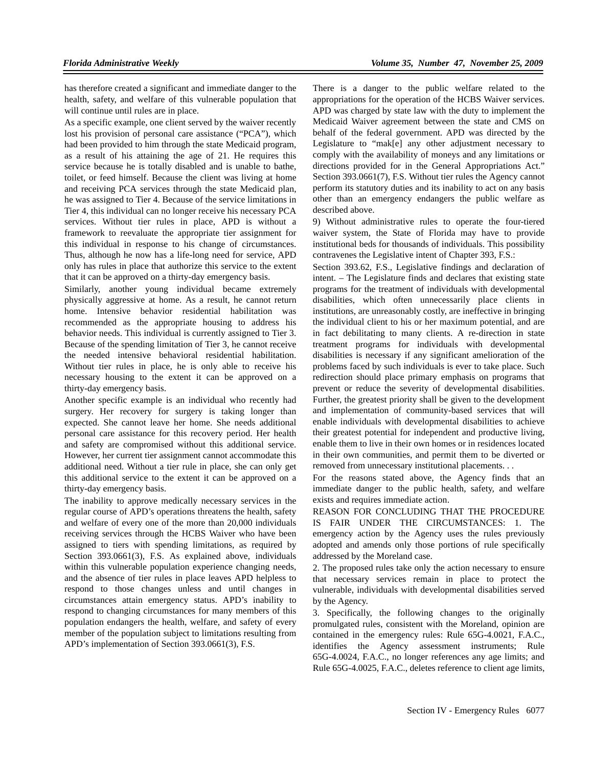has therefore created a significant and immediate danger to the health, safety, and welfare of this vulnerable population that will continue until rules are in place.

As a specific example, one client served by the waiver recently lost his provision of personal care assistance ("PCA"), which had been provided to him through the state Medicaid program, as a result of his attaining the age of 21. He requires this service because he is totally disabled and is unable to bathe, toilet, or feed himself. Because the client was living at home and receiving PCA services through the state Medicaid plan, he was assigned to Tier 4. Because of the service limitations in Tier 4, this individual can no longer receive his necessary PCA services. Without tier rules in place, APD is without a framework to reevaluate the appropriate tier assignment for this individual in response to his change of circumstances. Thus, although he now has a life-long need for service, APD only has rules in place that authorize this service to the extent that it can be approved on a thirty-day emergency basis.

Similarly, another young individual became extremely physically aggressive at home. As a result, he cannot return home. Intensive behavior residential habilitation was recommended as the appropriate housing to address his behavior needs. This individual is currently assigned to Tier 3. Because of the spending limitation of Tier 3, he cannot receive the needed intensive behavioral residential habilitation. Without tier rules in place, he is only able to receive his necessary housing to the extent it can be approved on a thirty-day emergency basis.

Another specific example is an individual who recently had surgery. Her recovery for surgery is taking longer than expected. She cannot leave her home. She needs additional personal care assistance for this recovery period. Her health and safety are compromised without this additional service. However, her current tier assignment cannot accommodate this additional need. Without a tier rule in place, she can only get this additional service to the extent it can be approved on a thirty-day emergency basis.

The inability to approve medically necessary services in the regular course of APD's operations threatens the health, safety and welfare of every one of the more than 20,000 individuals receiving services through the HCBS Waiver who have been assigned to tiers with spending limitations, as required by Section 393.0661(3), F.S. As explained above, individuals within this vulnerable population experience changing needs, and the absence of tier rules in place leaves APD helpless to respond to those changes unless and until changes in circumstances attain emergency status. APD's inability to respond to changing circumstances for many members of this population endangers the health, welfare, and safety of every member of the population subject to limitations resulting from APD's implementation of Section 393.0661(3), F.S.

There is a danger to the public welfare related to the appropriations for the operation of the HCBS Waiver services. APD was charged by state law with the duty to implement the Medicaid Waiver agreement between the state and CMS on behalf of the federal government. APD was directed by the Legislature to "mak[e] any other adjustment necessary to comply with the availability of moneys and any limitations or directions provided for in the General Appropriations Act." Section 393.0661(7), F.S. Without tier rules the Agency cannot perform its statutory duties and its inability to act on any basis other than an emergency endangers the public welfare as described above.

9) Without administrative rules to operate the four-tiered waiver system, the State of Florida may have to provide institutional beds for thousands of individuals. This possibility contravenes the Legislative intent of Chapter 393, F.S.:

Section 393.62, F.S., Legislative findings and declaration of intent. – The Legislature finds and declares that existing state programs for the treatment of individuals with developmental disabilities, which often unnecessarily place clients in institutions, are unreasonably costly, are ineffective in bringing the individual client to his or her maximum potential, and are in fact debilitating to many clients. A re-direction in state treatment programs for individuals with developmental disabilities is necessary if any significant amelioration of the problems faced by such individuals is ever to take place. Such redirection should place primary emphasis on programs that prevent or reduce the severity of developmental disabilities. Further, the greatest priority shall be given to the development and implementation of community-based services that will enable individuals with developmental disabilities to achieve their greatest potential for independent and productive living, enable them to live in their own homes or in residences located in their own communities, and permit them to be diverted or removed from unnecessary institutional placements. . .

For the reasons stated above, the Agency finds that an immediate danger to the public health, safety, and welfare exists and requires immediate action.

REASON FOR CONCLUDING THAT THE PROCEDURE IS FAIR UNDER THE CIRCUMSTANCES: 1. The emergency action by the Agency uses the rules previously adopted and amends only those portions of rule specifically addressed by the Moreland case.

2. The proposed rules take only the action necessary to ensure that necessary services remain in place to protect the vulnerable, individuals with developmental disabilities served by the Agency.

3. Specifically, the following changes to the originally promulgated rules, consistent with the Moreland, opinion are contained in the emergency rules: Rule 65G-4.0021, F.A.C., identifies the Agency assessment instruments; Rule 65G-4.0024, F.A.C., no longer references any age limits; and Rule 65G-4.0025, F.A.C., deletes reference to client age limits,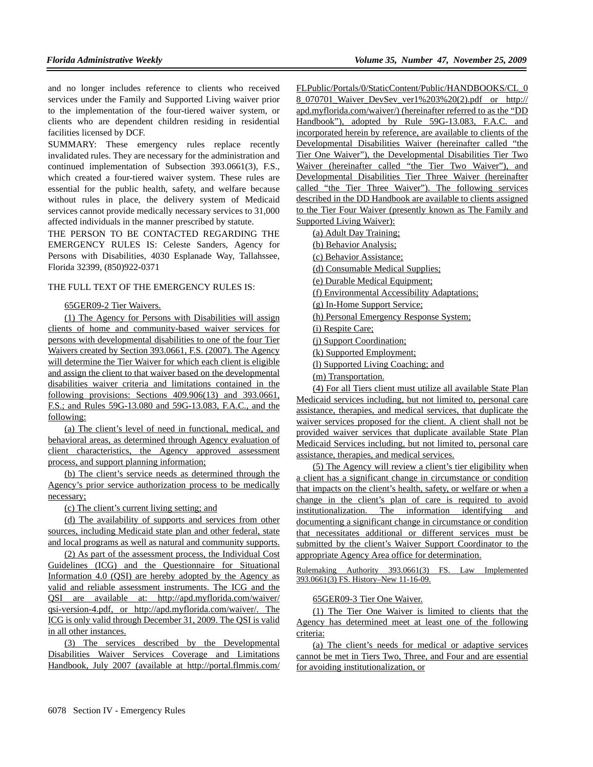and no longer includes reference to clients who received services under the Family and Supported Living waiver prior to the implementation of the four-tiered waiver system, or clients who are dependent children residing in residential facilities licensed by DCF.

SUMMARY: These emergency rules replace recently invalidated rules. They are necessary for the administration and continued implementation of Subsection 393.0661(3), F.S., which created a four-tiered waiver system. These rules are essential for the public health, safety, and welfare because without rules in place, the delivery system of Medicaid services cannot provide medically necessary services to 31,000 affected individuals in the manner prescribed by statute.

THE PERSON TO BE CONTACTED REGARDING THE EMERGENCY RULES IS: Celeste Sanders, Agency for Persons with Disabilities, 4030 Esplanade Way, Tallahssee, Florida 32399, (850)922-0371

## THE FULL TEXT OF THE EMERGENCY RULES IS:

## 65GER09-2 Tier Waivers.

(1) The Agency for Persons with Disabilities will assign clients of home and community-based waiver services for persons with developmental disabilities to one of the four Tier Waivers created by Section 393.0661, F.S. (2007). The Agency will determine the Tier Waiver for which each client is eligible and assign the client to that waiver based on the developmental disabilities waiver criteria and limitations contained in the following provisions: Sections 409.906(13) and 393.0661, F.S.; and Rules 59G-13.080 and 59G-13.083, F.A.C., and the following:

(a) The client's level of need in functional, medical, and behavioral areas, as determined through Agency evaluation of client characteristics, the Agency approved assessment process, and support planning information;

(b) The client's service needs as determined through the Agency's prior service authorization process to be medically necessary;

(c) The client's current living setting; and

(d) The availability of supports and services from other sources, including Medicaid state plan and other federal, state and local programs as well as natural and community supports.

(2) As part of the assessment process, the Individual Cost Guidelines (ICG) and the Questionnaire for Situational Information 4.0 (QSI) are hereby adopted by the Agency as valid and reliable assessment instruments. The ICG and the QSI are available at: http://apd.myflorida.com/waiver/ qsi-version-4.pdf, or http://apd.myflorida.com/waiver/. The ICG is only valid through December 31, 2009. The QSI is valid in all other instances.

(3) The services described by the Developmental Disabilities Waiver Services Coverage and Limitations Handbook, July 2007 (available at http://portal.flmmis.com/

FLPublic/Portals/0/StaticContent/Public/HANDBOOKS/CL\_0 8\_070701\_Waiver\_DevSev\_ver1%203%20(2).pdf or http:// apd.myflorida.com/waiver/) (hereinafter referred to as the "DD Handbook"), adopted by Rule 59G-13.083, F.A.C. and incorporated herein by reference, are available to clients of the Developmental Disabilities Waiver (hereinafter called "the Tier One Waiver"), the Developmental Disabilities Tier Two Waiver (hereinafter called "the Tier Two Waiver"), and Developmental Disabilities Tier Three Waiver (hereinafter called "the Tier Three Waiver"). The following services described in the DD Handbook are available to clients assigned to the Tier Four Waiver (presently known as The Family and Supported Living Waiver):

(a) Adult Day Training;

(b) Behavior Analysis;

(c) Behavior Assistance;

(d) Consumable Medical Supplies;

(e) Durable Medical Equipment;

(f) Environmental Accessibility Adaptations;

(g) In-Home Support Service;

(h) Personal Emergency Response System;

(i) Respite Care;

(j) Support Coordination;

(k) Supported Employment;

(l) Supported Living Coaching; and

(m) Transportation.

(4) For all Tiers client must utilize all available State Plan Medicaid services including, but not limited to, personal care assistance, therapies, and medical services, that duplicate the waiver services proposed for the client. A client shall not be provided waiver services that duplicate available State Plan Medicaid Services including, but not limited to, personal care assistance, therapies, and medical services.

(5) The Agency will review a client's tier eligibility when a client has a significant change in circumstance or condition that impacts on the client's health, safety, or welfare or when a change in the client's plan of care is required to avoid institutionalization. The information identifying and documenting a significant change in circumstance or condition that necessitates additional or different services must be submitted by the client's Waiver Support Coordinator to the appropriate Agency Area office for determination.

Rulemaking Authority 393.0661(3) FS. Law Implemented 393.0661(3) FS. History–New 11-16-09.

## 65GER09-3 Tier One Waiver.

(1) The Tier One Waiver is limited to clients that the Agency has determined meet at least one of the following criteria:

(a) The client's needs for medical or adaptive services cannot be met in Tiers Two, Three, and Four and are essential for avoiding institutionalization, or